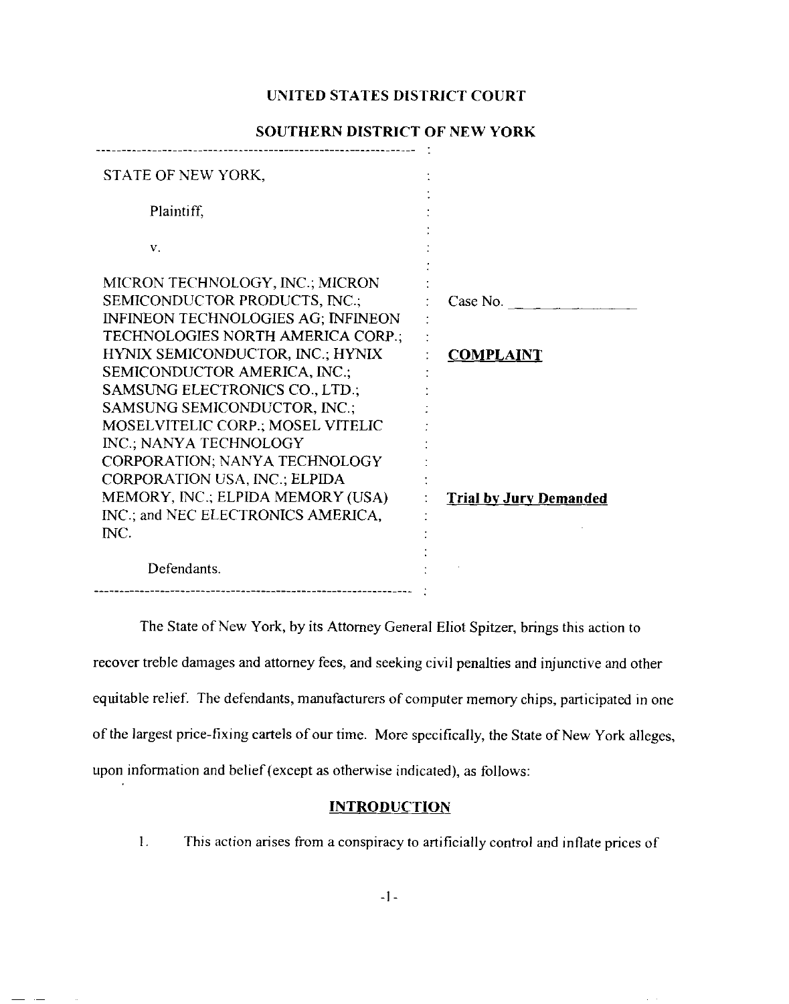# **UNITED STATES** DISTRICT COURT

| STATE OF NEW YORK,                        |                               |
|-------------------------------------------|-------------------------------|
| Plaintiff,                                |                               |
| V.                                        |                               |
|                                           |                               |
| MICRON TECHNOLOGY, INC.; MICRON           |                               |
| SEMICONDUCTOR PRODUCTS, INC.;             | Case No.                      |
| <b>INFINEON TECHNOLOGIES AG; INFINEON</b> |                               |
| TECHNOLOGIES NORTH AMERICA CORP.;         |                               |
| HYNIX SEMICONDUCTOR, INC.; HYNIX          | <b>COMPLAINT</b>              |
| SEMICONDUCTOR AMERICA, INC.;              |                               |
| SAMSUNG ELECTRONICS CO., LTD.,            |                               |
| SAMSUNG SEMICONDUCTOR, INC.;              |                               |
| MOSELVITELIC CORP.; MOSEL VITELIC         |                               |
| INC.; NANYA TECHNOLOGY                    |                               |
| CORPORATION; NANYA TECHNOLOGY             |                               |
| CORPORATION USA, INC., ELPIDA             |                               |
| MEMORY, INC.; ELPIDA MEMORY (USA)         | <b>Trial by Jury Demanded</b> |
| INC.; and NEC ELECTRONICS AMERICA,        |                               |
| INC.                                      |                               |
|                                           |                               |
| Defendants.                               |                               |

# **SOUTHERN DISTRICT OF NEW YORK**

The State of New York, by its Attorney General Eliot Spitzer, brings this action to

recover treble damages and attorney fees, and seeking civil penalties and injunctive and other equitable relief. The defendants, manufacturers of computer memory chips, participated in one of the largest price-fixing cartels of our time. More specifically, the State of New York alleges, upon information and belief (except as otherwise indicated), as follows :

## **INTRODUCTION**

1. This action arises from a conspiracy to artificially control and inflate prices of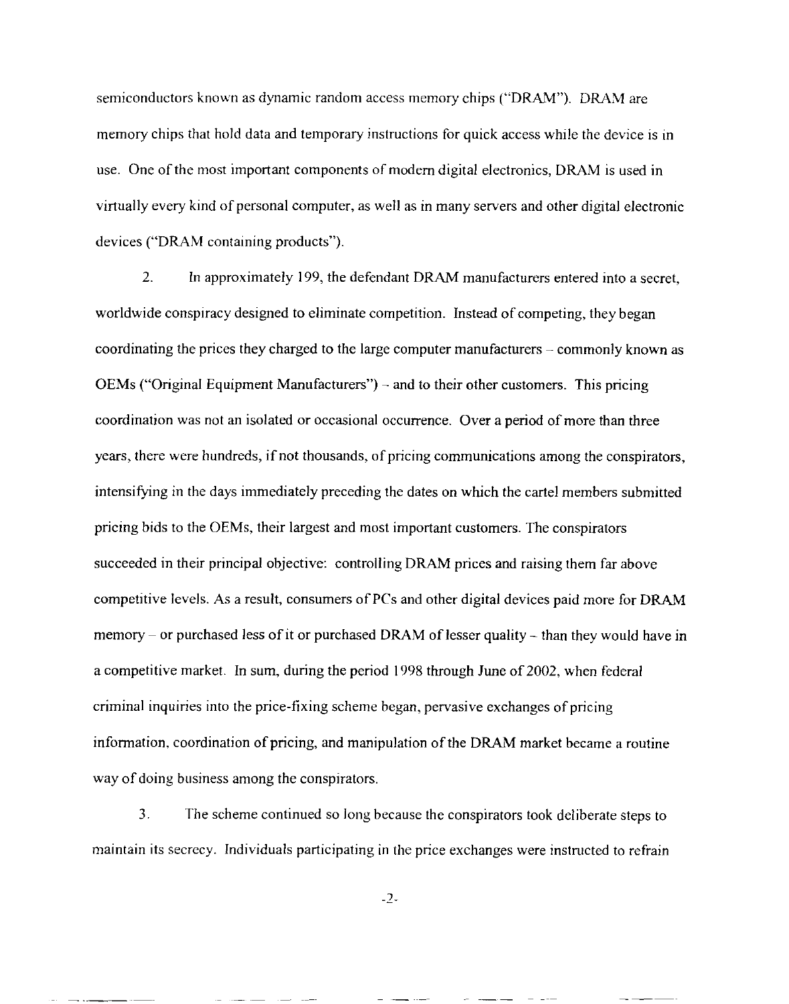semiconductors known as dynamic random access memory chips ("DRAM"). DRAM are memory chips that hold data and temporary instructions for quick access while the device is in use. One of the most important components of modern digital electronics, DRAM is used in virtually every kind of personal computer, as well as in many servers and other digital electronic devices ("DRAM containing products") .

2. In approximately 199, the defendant DRAM manufacturers entered into a secret, worldwide conspiracy designed to eliminate competition. Instead of competing, they began coordinating the prices they charged to the large computer manufacturers  $-$  commonly known as OEMs ("Original Equipment Manufacturers") – and to their other customers. This pricing coordination was not an isolated or occasional occurrence . Over a period of more than three years, there were hundreds, if not thousands, of pricing communications among the conspirators , intensifying in the days immediately preceding the dates on which the cartel members submitted pricing bids to the OEMs, their largest and most important customers . The conspirators succeeded in their principal objective: controlling DRAM prices and raising them far above competitive levels. As a result, consumers of PCs and other digital devices paid more for DRAM memory – or purchased less of it or purchased DRAM of lesser quality – than they would have in a competitive market. In sum, during the period 1998 through June of 2002, when federa <sup>l</sup> criminal inquiries into the price-fixing scheme began, pervasive exchanges of pricing information, coordination of pricing, and manipulation of the DRAM market became a routine way of doing business among the conspirators.

3. The scheme continued so long because the conspirators took deliberate steps to maintain its secrecy. Individuals participating in the price exchanges were instructed to refrain

 $-2 -$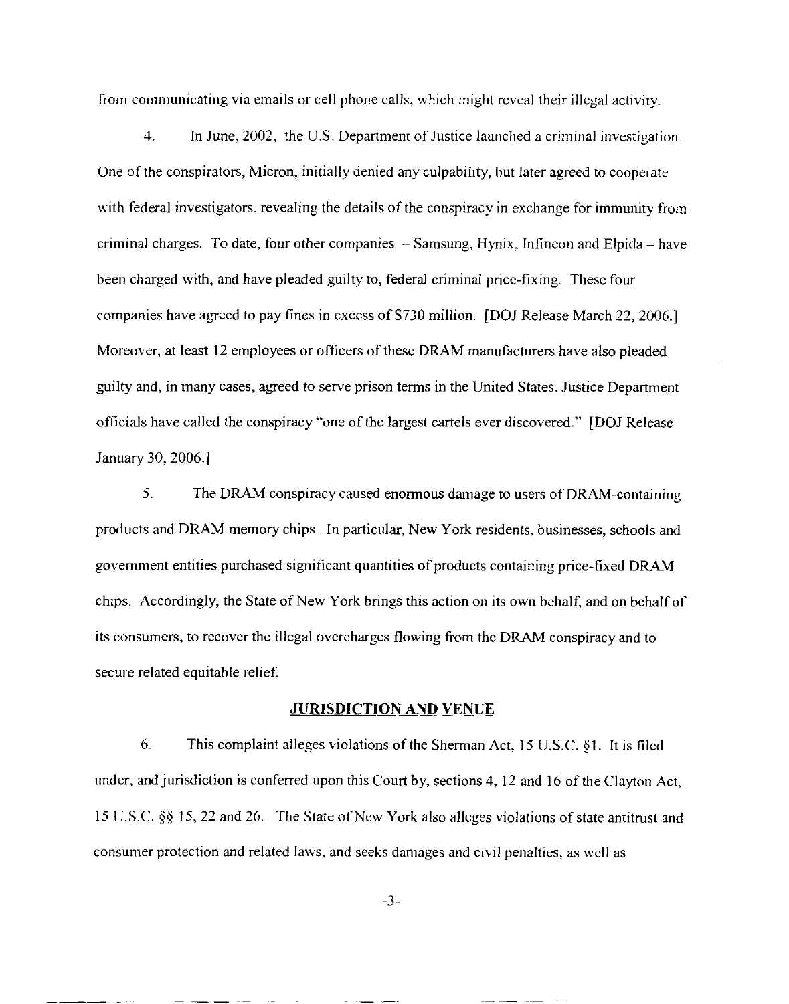from communicating via emails or cell phone calls, which might reveal their illegal activity.

4. In June, 2002, the U.S. Department of Justice launched a criminal investigation. One of the conspirators, Micron, initially denied any culpability, but later agreed to cooperate with federal investigators, revealing the details of the conspiracy in exchange for immunity from criminal charges. To date, four other companies – Samsung, Hynix, Infineon and Elpida – have been charged with, and have pleaded guilty to, federal criminal price-fixing. These four companies have agreed to pay fines in excess of \$730 million . [DOJ Release March 22, 2006.] Moreover, at least 12 employees or officers of these DRAM manufacturers have also pleaded guilty and, in many cases, agreed to serve prison terms in the United States . Justice Department officials have called the conspiracy "one of the largest cartels ever discovered ." [DOJ Releas e January 30, 2006.]

5. The DRAM conspiracy caused enormous damage to users of DRAM-containing products and DRAM memory chips. In particular, New York residents, businesses, schools and government entities purchased significant quantities of products containing price-fixed DRA M chips. Accordingly, the State of New York brings this action on its own behalf, and on behalf of its consumers, to recover the illegal overcharges flowing from the DRAM conspiracy and to secure related equitable relief

#### **JURISDICTION AND VENUE**

6. This complaint alleges violations of the Sherman Act, 15 U .S.C. §1 . It is filed under, and jurisdiction is conferred upon this Court by, sections 4, 12 and 16 of the Clayton Act, 15 U.S .C. §§ 15, 22 and 26 . The State of New York also alleges violations of state antitrust an d consumer protection and related laws, and seeks damages and civil penalties, as well as

-3-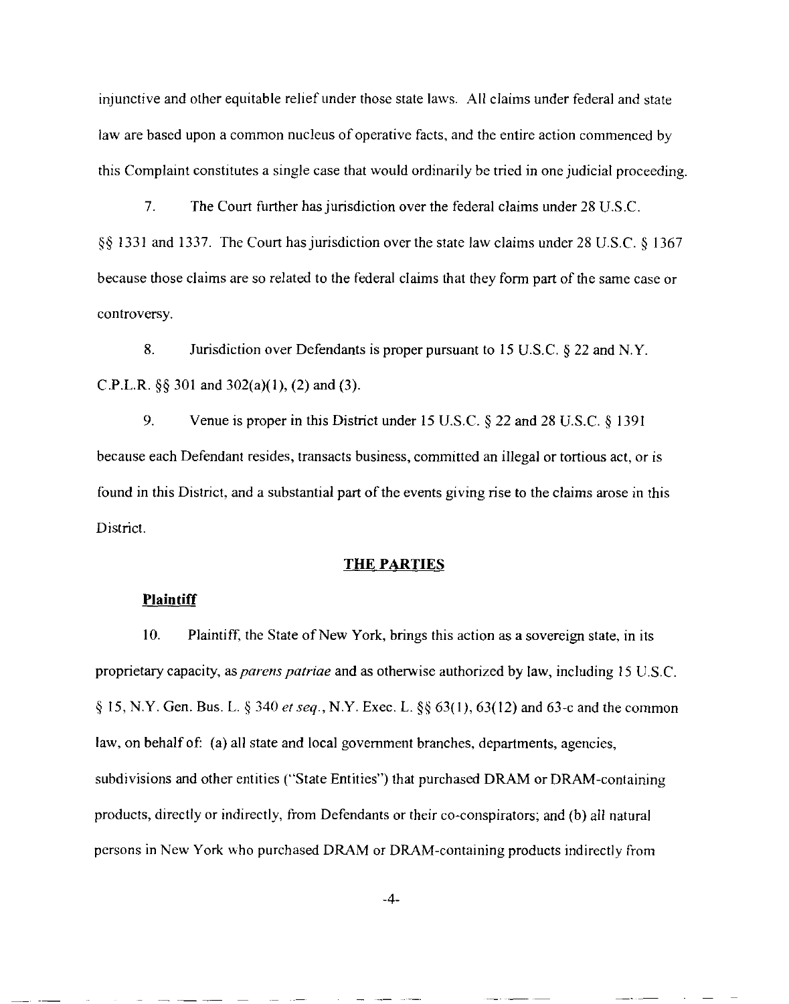injunctive and other equitable relief under those state laws. All claims under federal and state law are based upon a common nucleus of operative facts, and the entire action commenced by this Complaint constitutes a single case that would ordinarily be tried in one judicial proceeding .

7. The Court further has jurisdiction over the federal claims under 28 U .S .C. §§ 1331 and 1337. The Court has jurisdiction over the state law claims under 28 U .S.C. § 1367 because those claims are so related to the federal claims that they form part of the same case or controversy.

8. Jurisdiction over Defendants is proper pursuant to 15 U.S.C.  $\S$  22 and N.Y. C.P.L.R.  $\S\S 301$  and  $302(a)(1)$ , (2) and (3).

9. Venue is proper in this District under 15 U.S.C. § 22 and 28 U.S.C. § 1391 because each Defendant resides, transacts business, committed an illegal or tortious act, or is found in this District, and a substantial part of the events giving rise to the claims arose in this District.

### **THE PARTIES**

### **Plaintiff**

10. Plaintiff, the State of New York, brings this action as a sovereign state, in its proprietary capacity, as *parens patriae* and as otherwise authorized by law, including 15 U .S.C . § 15, N.Y. Gen. Bus. L . § 340 *et seq.,* N .Y. Exec . L. §§ 63(1), 63(12) and 63-c and the commo n law, on behalf of: (a) all state and local government branches, departments, agencies, subdivisions and other entities ("State Entities") that purchased DRAM or DRAM-containing products, directly or indirectly, from Defendants or their co-conspirators; and (b) all natura <sup>l</sup> persons in New York who purchased DRAM or DRAM-containing products indirectly from

-4-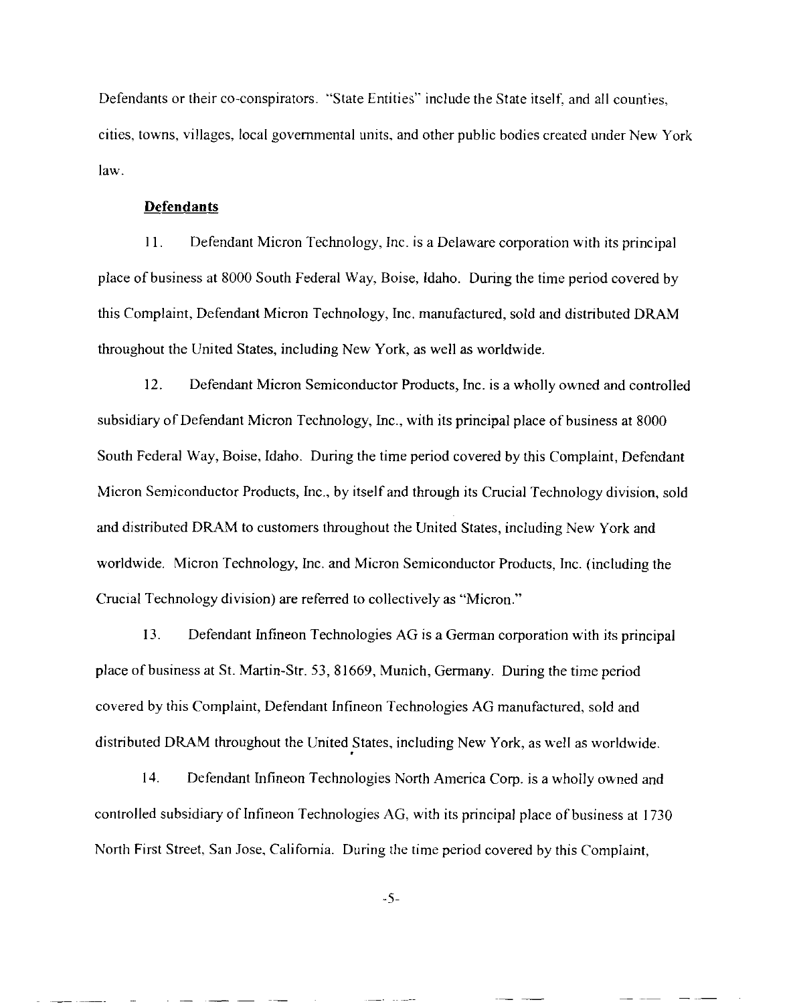Defendants or their co-conspirators. "State Entities" include the State itself, and all counties, cities, towns, villages, local governmental units, and other public bodies created under New York law.

#### **Defendants**

11. Defendant Micron Technology, Inc. is a Delaware corporation with its principal place of business at 8000 South Federal Way, Boise, Idaho. During the time period covered by this Complaint, Defendant Micron Technology, Inc. manufactured, sold and distributed DRAM throughout the United States, including New York, as well as worldwide .

12. Defendant Micron Semiconductor Products, Inc . is a wholly owned and controlled subsidiary of Defendant Micron Technology, Inc., with its principal place of business at 8000 South Federal Way, Boise, Idaho. During the time period covered by this Complaint, Defendant Micron Semiconductor Products, Inc., by itself and through its Crucial Technology division, sold and distributed DRAM to customers throughout the United States, including New York and worldwide. Micron Technology, Inc. and Micron Semiconductor Products, Inc. (including the Crucial Technology division) are referred to collectively as "Micron . "

13. Defendant Infineon Technologies AG is a German corporation with its principal place of business at St . Martin-Str. 53, 81669, Munich, Germany . During the time period covered by this Complaint, Defendant Infineon Technologies AG manufactured, sold and distributed DRAM throughout the United States, including New York, as well as worldwide .

14. Defendant Infineon Technologies North America Corp . is a wholly owned and controlled subsidiary of Infineon Technologies AG, with its principal place of business at 1730 North First Street, San Jose, California . During the time period covered by this Complaint,

-5-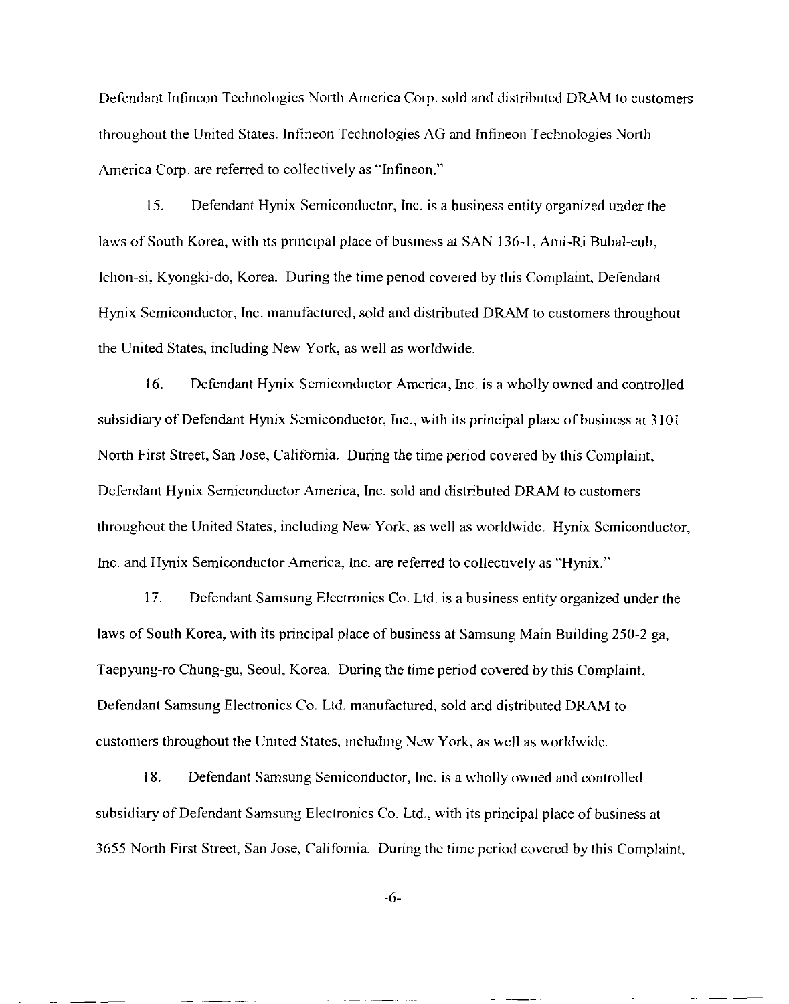Defendant Infineon Technologies North America Corp . sold and distributed DRAM to customers throughout the United States. Infineon Technologies AG and Infineon Technologies North America Corp. are referred to collectively as "Infineon."

15. Defendant Hynix Semiconductor, Inc. is a business entity organized under the laws of South Korea, with its principal place of business at SAN 136-1, Ami-Ri Bubal-eub, Ichon-si, Kyongki-do, Korea. During the time period covered by this Complaint, Defendant Hynix Semiconductor, Inc. manufactured, sold and distributed DRAM to customers throughout the United States, including New York, as well as worldwide .

16. Defendant Hynix Semiconductor America, Inc. is a wholly owned and controlled subsidiary of Defendant Hynix Semiconductor, Inc., with its principal place of business at 3101 North First Street, San Jose, California . During the time period covered by this Complaint, Defendant Hynix Semiconductor America, Inc . sold and distributed DRAM to customers throughout the United States, including New York, as well as worldwide . Hynix Semiconductor, Inc. and Hynix Semiconductor America, Inc . are referred to collectively as "Hynix . "

17. Defendant Samsung Electronics Co. Ltd. is a business entity organized under the laws of South Korea, with its principal place of business at Samsung Main Building 250-2 ga, Taepyung-ro Chung-gu, Seoul, Korea . During the time period covered by this Complaint, Defendant Samsung Electronics Co . Ltd. manufactured, sold and distributed DRAM to customers throughout the United States, including New York, as well as worldwide .

18. Defendant Samsung Semiconductor, Inc . is a wholly owned and controlled subsidiary of Defendant Samsung Electronics Co . Ltd., with its principal place of business at 3655 North First Street, San Jose, California . During the time period covered by this Complaint,

-6-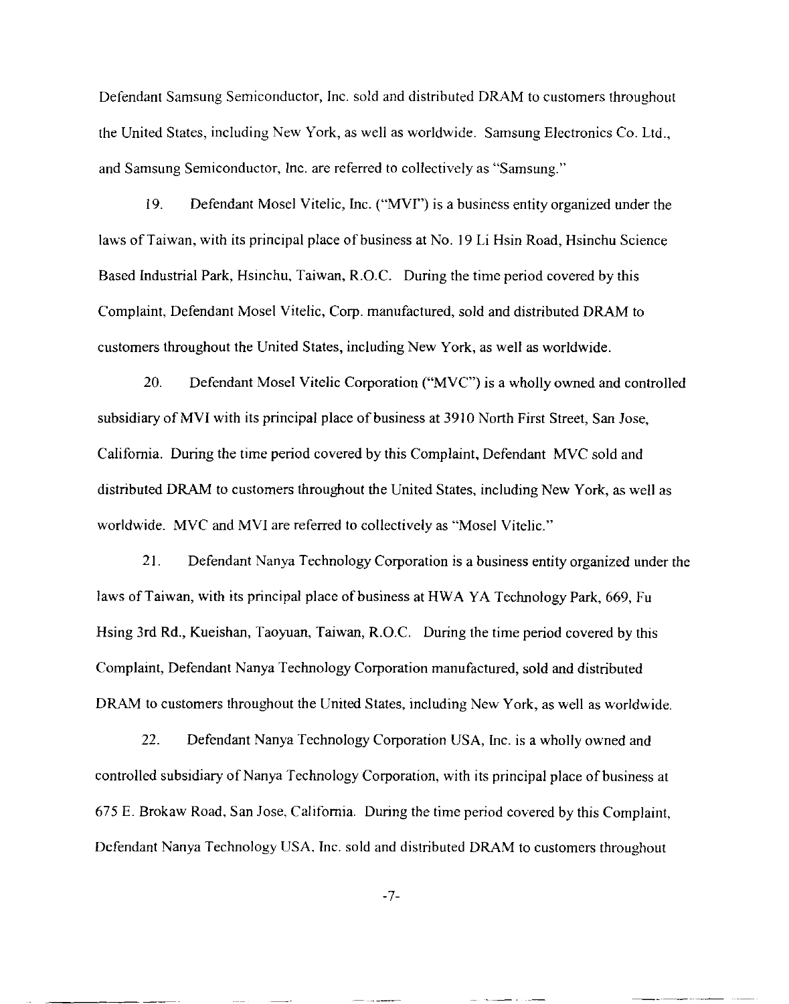Defendant Samsung Semiconductor, Inc. sold and distributed DRAM to customers throughout the United States, including New York, as well as worldwide. Samsung Electronics Co. Ltd., and Samsung Semiconductor, Inc. are referred to collectively as "Samsung."

19. Defendant Mosel Vitelic, Inc. ("MVI") is a business entity organized under the laws of Taiwan, with its principal place of business at No. 19 Li Hsin Road, Hsinchu Science Based Industrial Park, Hsinchu, Taiwan, R .O.C. During the time period covered by this Complaint, Defendant Mosel Vitelic, Corp. manufactured, sold and distributed DRAM to customers throughout the United States, including New York, as well as worldwide .

20. Defendant Mosel Vitelic Corporation ("MVC") is a wholly owned and controlled subsidiary of MVI with its principal place of business at 3910 North First Street, San Jose, California. During the time period covered by this Complaint, Defendant MVC sold and distributed DRAM to customers throughout the United States, including New York, as well as worldwide. MVC and MVI are referred to collectively as "Mosel Vitelic."

21. Defendant Nanya Technology Corporation is a business entity organized under the laws of Taiwan, with its principal place of business at HWA YA Technology Park, 669, Fu Hsing 3rd Rd., Kueishan, Taoyuan, Taiwan, R.O.C. During the time period covered by this Complaint, Defendant Nanya Technology Corporation manufactured, sold and distribute d DRAM to customers throughout the United States, including New York, as well as worldwide.

22. Defendant Nanya Technology Corporation USA, Inc . is a wholly owned and controlled subsidiary of Nanya Technology Corporation, with its principal place of business a <sup>t</sup> 675 E . Brokaw Road, San Jose, California . During the time period covered by this Complaint , Defendant Nanya Technology USA, Inc. sold and distributed DRAM to customers throughout

-7-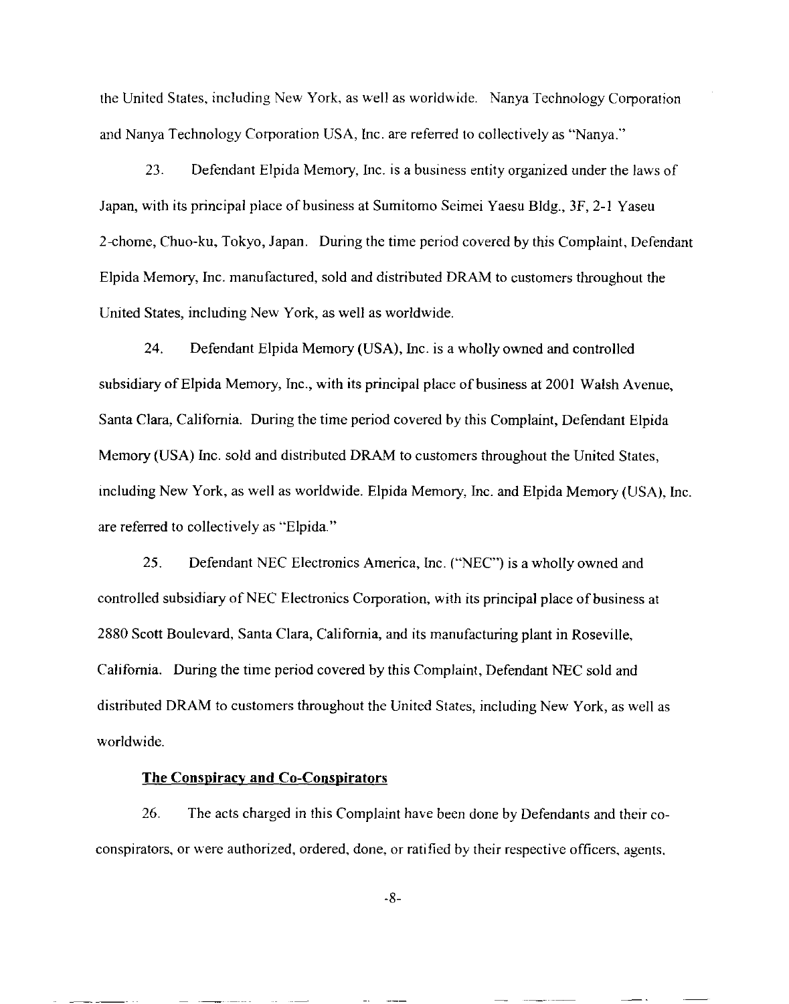the United States, including New York, as well as worldwide. Nanya Technology Corporation and Nanya Technology Corporation USA, Inc. are referred to collectively as "Nanya."

23. Defendant Elpida Memory, Inc. is a business entity organized under the laws of Japan, with its principal place of business at Sumitomo Seimei Yaesu Bldg., 3F, 2-1 Yaseu 2-chome, Chuo-ku, Tokyo, Japan. During the time period covered by this Complaint, Defendant Elpida Memory, Inc. manufactured, sold and distributed DRAM to customers throughout the United States, including New York, as well as worldwide .

24. Defendant Elpida Memory (USA), Inc . is a wholly owned and controlled subsidiary of Elpida Memory, Inc., with its principal place of business at 2001 Walsh Avenue, Santa Clara, California. During the time period covered by this Complaint, Defendant Elpida Memory (USA) Inc. sold and distributed DRAM to customers throughout the United States, including New York, as well as worldwide. Elpida Memory, Inc. and Elpida Memory (USA), Inc. are referred to collectively as "Elpida . "

25. Defendant NEC Electronics America, Inc . ("NEC") is a wholly owned and controlled subsidiary of NEC Electronics Corporation, with its principal place of business at 2880 Scott Boulevard, Santa Clara, California, and its manufacturing plant in Roseville, California. During the time period covered by this Complaint, Defendant NEC sold and distributed DRAM to customers throughout the United States, including New York, as well as worldwide.

### **The Conspiracy and Co-Conspirators**

26. The acts charged in this Complaint have been done by Defendants and their coconspirators, or were authorized, ordered, done, or ratified by their respective officers, agents ,

-8-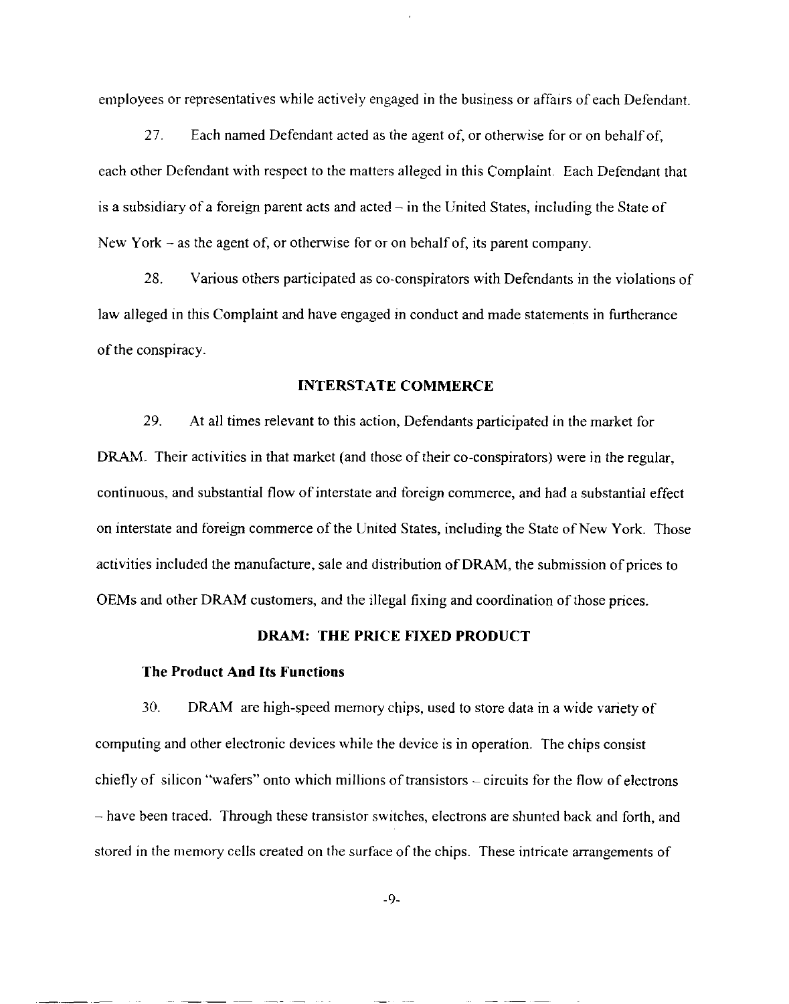employees or representatives while actively engaged in the business or affairs of each Defendant .

27. Each named Defendant acted as the agent of, or otherwise for or on behalf of, each other Defendant with respect to the matters alleged in this Complaint. Each Defendant that is a subsidiary of a foreign parent acts and acted  $-$  in the United States, including the State of New York – as the agent of, or otherwise for or on behalf of, its parent company.

28. Various others participated as co-conspirators with Defendants in the violations of law alleged in this Complaint and have engaged in conduct and made statements in furtherance of the conspiracy .

### **INTERSTATE COMMERCE**

29. At all times relevant to this action, Defendants participated in the market for DRAM. Their activities in that market (and those of their co-conspirators) were in the regular, continuous, and substantial flow of interstate and foreign commerce, and had a substantial effect on interstate and foreign commerce of the United States, including the State of New York . Those activities included the manufacture, sale and distribution of DRAM, the submission of prices to OEMs and other DRAM customers, and the illegal fixing and coordination of those prices .

## **DRAM: THE PRICE FIXED PRODUCT**

## **The Product And Its Functions**

30. DRAM are high-speed memory chips, used to store data in a wide variety of computing and other electronic devices while the device is in operation . The chips consist chiefly of silicon "wafers" onto which millions of transistors  $-$  circuits for the flow of electrons – have been traced. Through these transistor switches, electrons are shunted back and forth, and stored in the memory cells created on the surface of the chips. These intricate arrangements of

-9-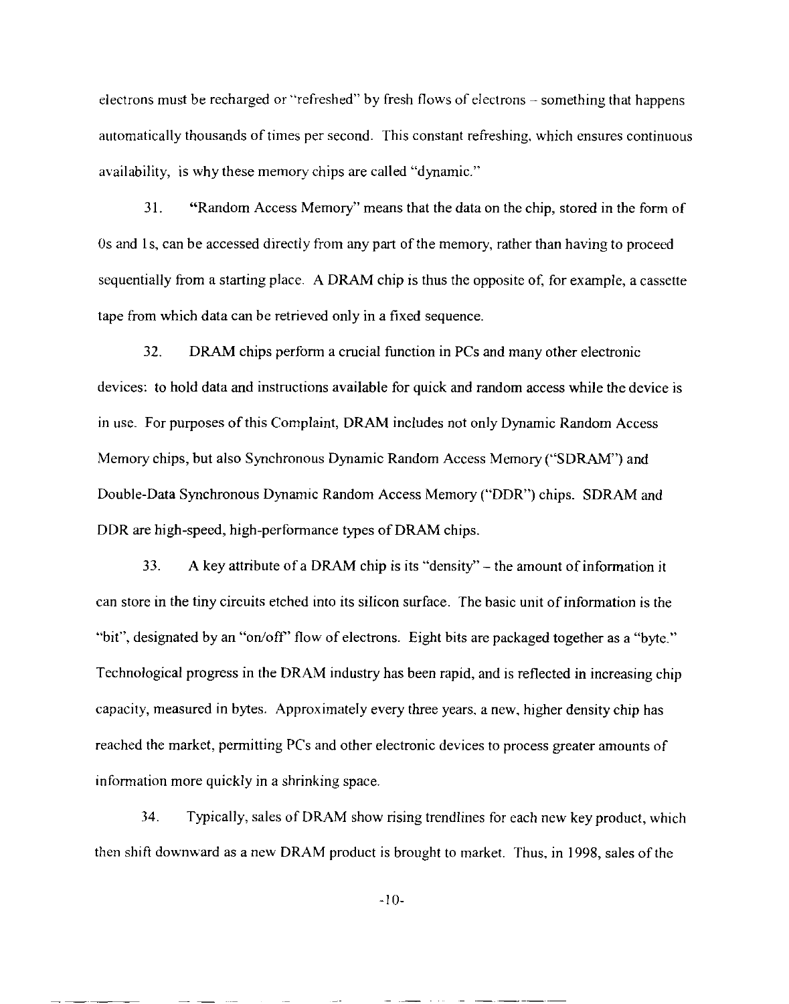electrons must be recharged or "refreshed" by fresh flows of electrons – something that happens automatically thousands of times per second. This constant refreshing, which ensures continuous availability, is why these memory chips are called "dynamic ."

31. "Random Access Memory" means that the data on the chip, stored in the form of Os and 1s, can be accessed directly from any part of the memory, rather than having to proceed sequentially from a starting place . A DRAM chip is thus the opposite of, for example, a cassette tape from which data can be retrieved only in a fixed sequence .

32. DRAM chips perform a crucial function in PCs and many other electronic devices: to hold data and instructions available for quick and random access while the device is in use. For purposes of this Complaint, DRAM includes not only Dynamic Random Access Memory chips, but also Synchronous Dynamic Random Access Memory ("SDRAM") an d Double-Data Synchronous Dynamic Random Access Memory ("DDR") chips . SDRAM and DDR are high-speed, high-performance types of DRAM chips.

33. A key attribute of a DRAM chip is its "density" – the amount of information it can store in the tiny circuits etched into its silicon surface. The basic unit of information is the "bit", designated by an "on/off" flow of electrons. Eight bits are packaged together as a "byte." Technological progress in the DRAM industry has been rapid, and is reflected in increasing chip capacity, measured in bytes. Approximately every three years, a new, higher density chip has reached the market, permitting PCs and other electronic devices to process greater amounts of information more quickly in a shrinking space .

34. Typically, sales of DRAM show rising trendlines for each new key product, which then shift downward as a new DRAM product is brought to market. Thus, in 1998, sales of the

-10-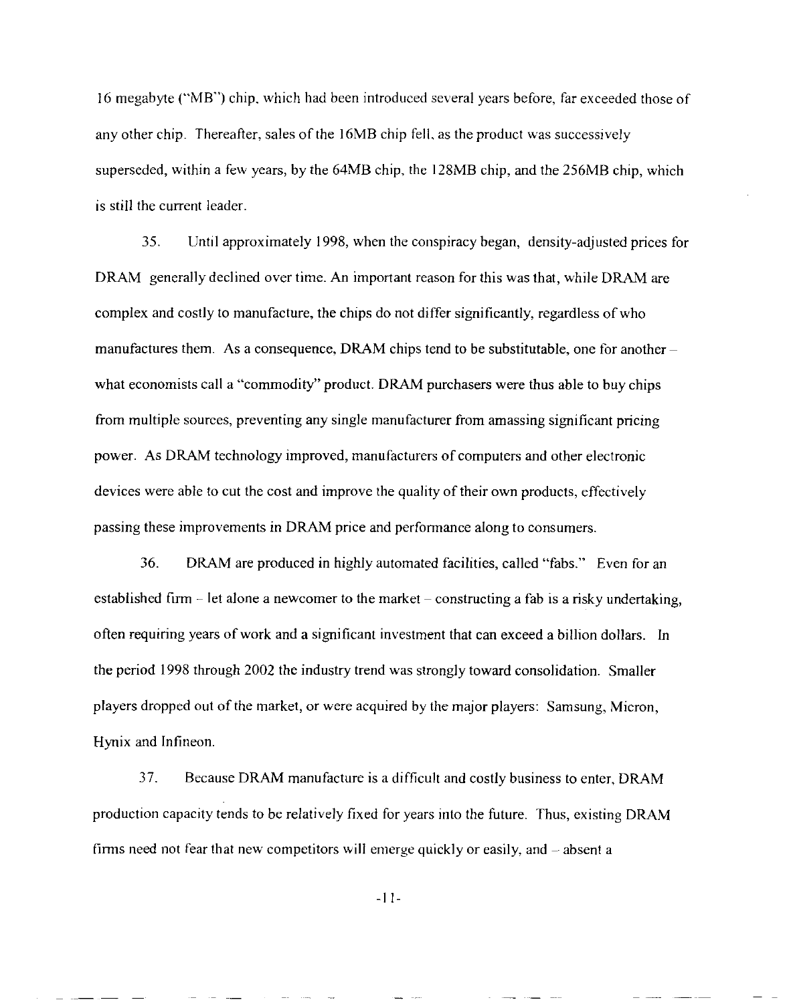16 megabyte ("MB") chip, which had been introduced several years before, far exceeded those of any other chip. Thereafter, sales of the 16MB chip fell, as the product was successively superseded, within a few years, by the 64MB chip, the 128MB chip, and the 256MB chip, which is still the current leader.

35. Until approximately 1998, when the conspiracy began, density-adjusted prices fo r DRAM generally declined over time. An important reason for this was that, while DRAM are complex and costly to manufacture, the chips do not differ significantly, regardless of who manufactures them. As a consequence, DRAM chips tend to be substitutable, one for another  $$ what economists call a "commodity" product. DRAM purchasers were thus able to buy chips from multiple sources, preventing any single manufacturer from amassing significant pricing power. As DRAM technology improved, manufacturers of computers and other electronic devices were able to cut the cost and improve the quality of their own products, effectively passing these improvements in DRAM price and performance along to consumers .

36. DRAM are produced in highly automated facilities, called "fabs." Even for an established firm  $-$  let alone a newcomer to the market  $-$  constructing a fab is a risky undertaking, often requiring years of work and a significant investment that can exceed a billion dollars. In the period 1998 through 2002 the industry trend was strongly toward consolidation. Smaller players dropped out of the market, or were acquired by the major players: Samsung, Micron, Hynix and Infineon.

37. Because DRAM manufacture is a difficult and costly business to enter, DRAM production capacity tends to be relatively fixed for years into the future . Thus, existing DRAM firms need not fear that new competitors will emerge quickly or easily, and - absent a

-Il-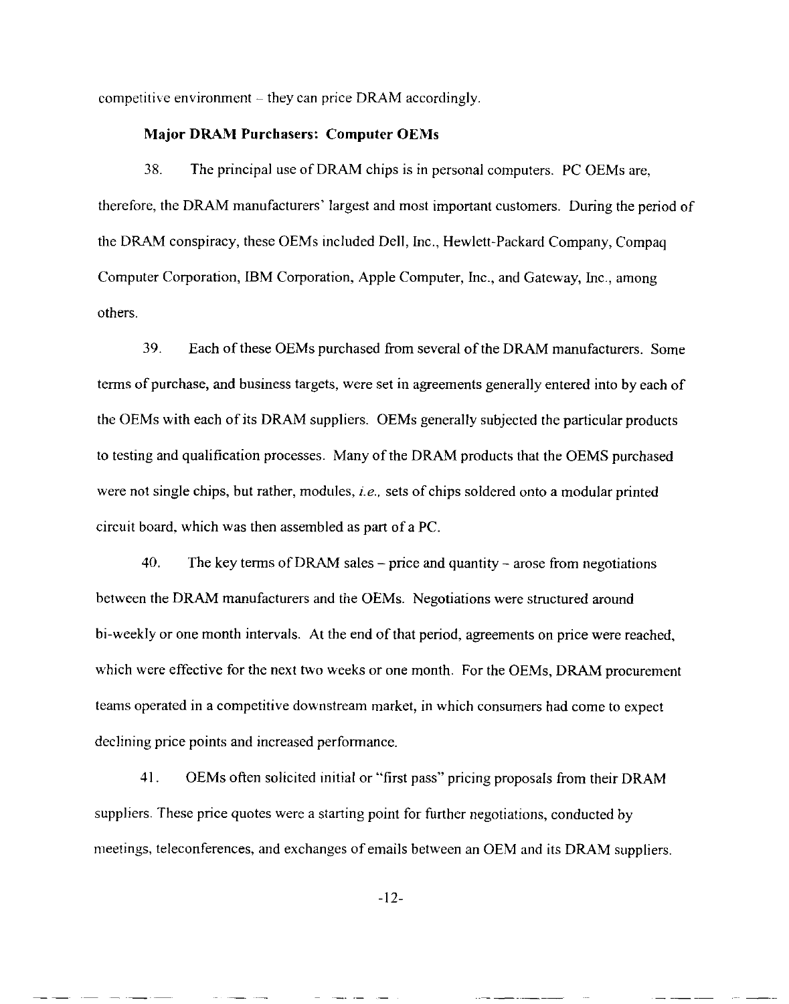competitive environment – they can price DRAM accordingly.

### **Major DRAM Purchasers : Computer OEMs**

38. The principal use of DRAM chips is in personal computers . PC OEMs are , therefore, the DRAM manufacturers' largest and most important customers . During the period of the DRAM conspiracy, these OEMs included Dell, Inc ., Hewlett-Packard Company, Compaq Computer Corporation, IBM Corporation, Apple Computer, Inc., and Gateway, Inc., among others.

39. Each of these OEMs purchased from several of the DRAM manufacturers . Some terms of purchase, and business targets, were set in agreements generally entered into by each of the OEMs with each of its DRAM suppliers . OEMs generally subjected the particular products to testing and qualification processes. Many of the DRAM products that the OEMS purchased were not single chips, but rather, modules, *i.e.*, sets of chips soldered onto a modular printed circuit board, which was then assembled as part of a PC .

40. The key terms of DRAM sales – price and quantity – arose from negotiations between the DRAM manufacturers and the OEMs. Negotiations were structured around bi-weekly or one month intervals. At the end of that period, agreements on price were reached, which were effective for the next two weeks or one month. For the OEMs, DRAM procurement teams operated in a competitive downstream market, in which consumers had come to expect declining price points and increased performance.

41. OEMs often solicited initial or "first pass" pricing proposals from their DRAM suppliers. These price quotes were a starting point for further negotiations, conducted by meetings, teleconferences, and exchanges of emails between an OEM and its DRAM suppliers.

-12-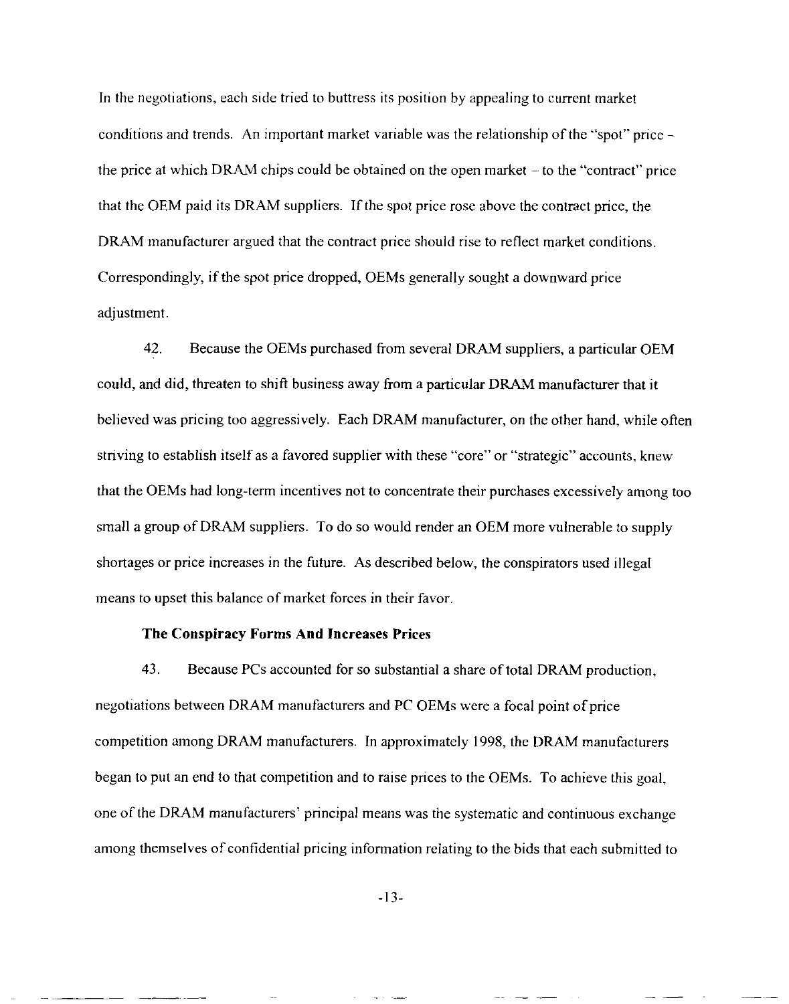In the negotiations, each side tried to buttress its position by appealing to current market conditions and trends. An important market variable was the relationship of the "spot" price  $\sim$ the price at which DRAM chips could be obtained on the open market  $-$  to the "contract" price that the OEM paid its DRAM suppliers. If the spot price rose above the contract price, the DRAM manufacturer argued that the contract price should rise to reflect market conditions. Correspondingly, if the spot price dropped, OEMs generally sought a downward price adjustment .

42. Because the OEMs purchased from several DRAM suppliers, a particular OEM could, and did, threaten to shift business away from a particular DRAM manufacturer that it believed was pricing too aggressively. Each DRAM manufacturer, on the other hand, while often striving to establish itself as a favored supplier with these "core" or "strategic" accounts, knew that the OEMs had long-term incentives not to concentrate their purchases excessively among too small a group of DRAM suppliers. To do so would render an OEM more vulnerable to supply shortages or price increases in the future. As described below, the conspirators used illegal means to upset this balance of market forces in their favor.

#### **The Conspiracy Forms And Increases Price s**

43. Because PCs accounted for so substantial a share of total DRAM production, negotiations between DRAM manufacturers and PC OEMs were a focal point of price competition among DRAM manufacturers . In approximately 1998, the DRAM manufacturers began to put an end to that competition and to raise prices to the OEMs. To achieve this goal, one of the DRAM manufacturers' principal means was the systematic and continuous exchange among themselves of confidential pricing information relating to the bids that each submitted to

-13-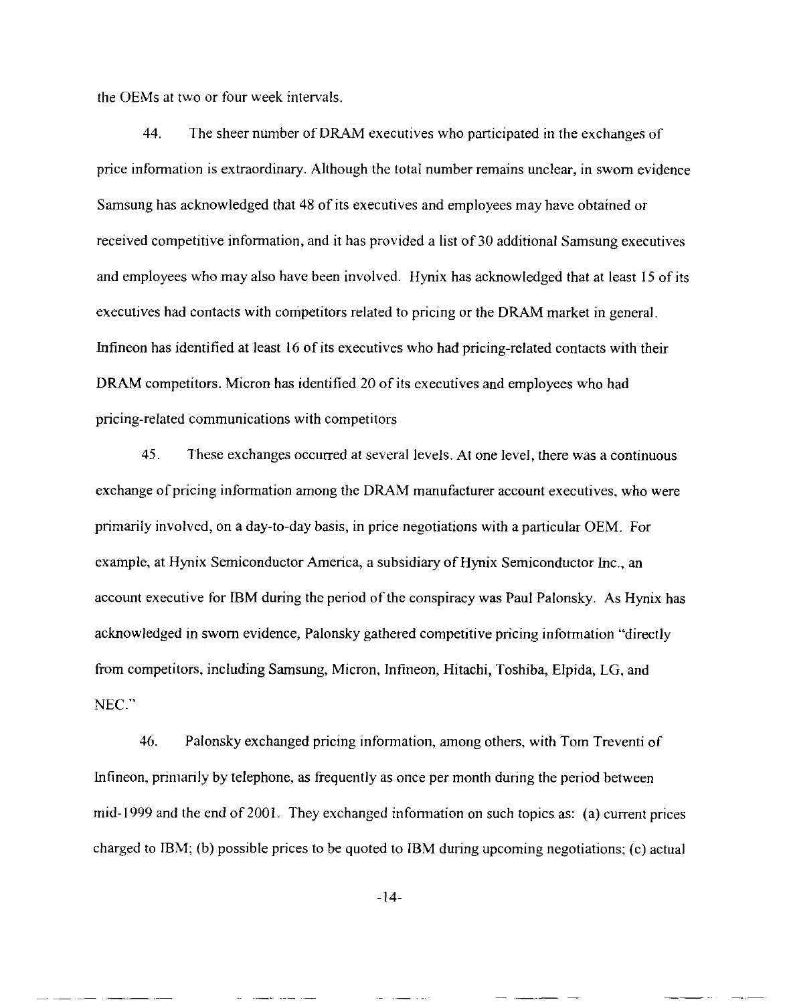the OEMs at two or four week intervals .

44. The sheer number of DRAM executives who participated in the exchanges of price information is extraordinary. Although the total number remains unclear, in sworn evidence Samsung has acknowledged that 48 of its executives and employees may have obtained or received competitive information, and it has provided a list of 30 additional Samsung executives and employees who may also have been involved. Hynix has acknowledged that at least 15 of its executives had contacts with competitors related to pricing or the DRAM market in general . Infineon has identified at least 16 of its executives who had pricing-related contacts with their DRAM competitors. Micron has identified 20 of its executives and employees who had pricing-related communications with competitors

45. These exchanges occurred at several levels. At one level, there was a continuous exchange of pricing information among the DRAM manufacturer account executives, who were primarily involved, on a day-to-day basis, in price negotiations with a particular OEM . For example, at Hynix Semiconductor America, a subsidiary of Hynix Semiconductor Inc ., an account executive for IBM during the period of the conspiracy was Paul Palonsky . As Hynix has acknowledged in sworn evidence, Palonsky gathered competitive pricing information "directly from competitors, including Samsung, Micron, Infineon, Hitachi, Toshiba, Elpida, LG, and NEC"

46. Palonsky exchanged pricing information, among others, with Tom Treventi of Infineon, primarily by telephone, as frequently as once per month during the period between mid-1999 and the end of 2001. They exchanged information on such topics as: (a) current prices charged to IBM; (b) possible prices to be quoted to IBM during upcoming negotiations; (c) actual

-14-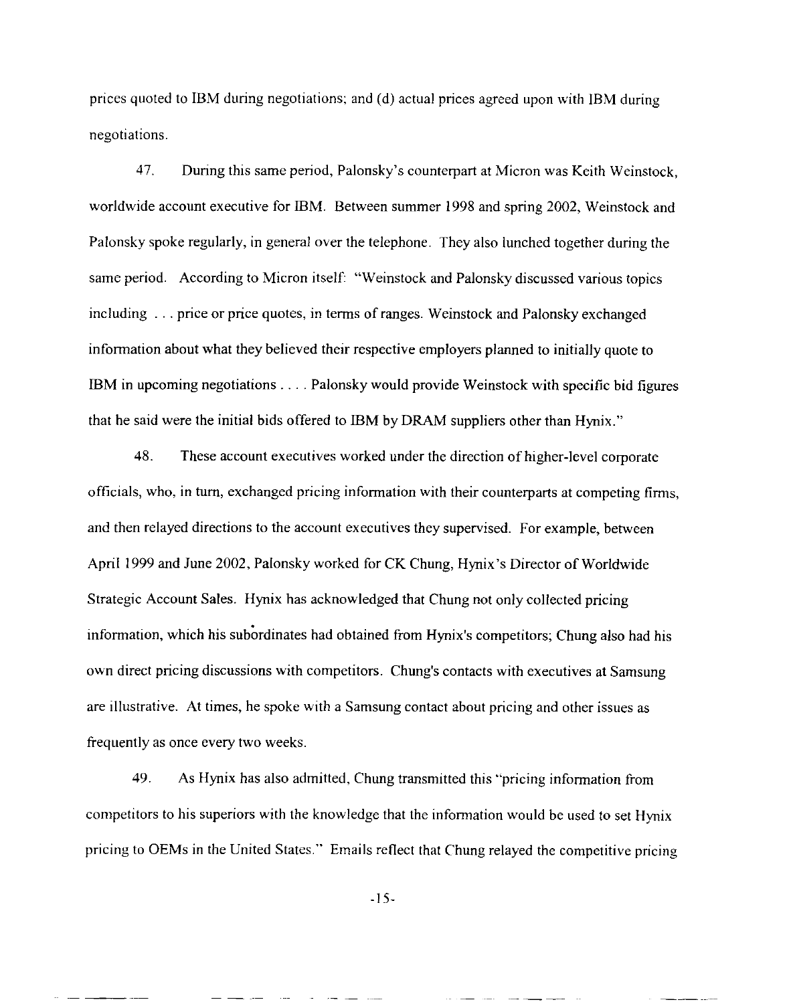prices quoted to IBM during negotiations; and (d) actual prices agreed upon with IBM during negotiations.

47. During this same period, Palonsky's counterpart at Micron was Keith Weinstock , worldwide account executive for IBM. Between summer 1998 and spring 2002, Weinstock and Palonsky spoke regularly, in general over the telephone. They also lunched together during the same period. According to Micron itself: "Weinstock and Palonsky discussed various topics including . . . price or price quotes, in terms of ranges. Weinstock and Palonsky exchanged information about what they believed their respective employers planned to initially quote to IBM in upcoming negotiations . . . . Palonsky would provide Weinstock with specific bid figures that he said were the initial bids offered to IBM by DRAM suppliers other than Hynix . "

48. These account executives worked under the direction of higher-level corporate officials, who, in turn, exchanged pricing information with their counterparts at competing firms , and then relayed directions to the account executives they supervised. For example, between April 1999 and June 2002, Palonsky worked for CK Chung, Hynix's Director of Worldwide Strategic Account Sales. Hynix has acknowledged that Chung not only collected pricing information, which his subordinates had obtained from Hynix's competitors; Chung also had his own direct pricing discussions with competitors . Chung's contacts with executives at Samsung are illustrative. At times, he spoke with a Samsung contact about pricing and other issues as frequently as once every two weeks.

49. As Hynix has also admitted, Chung transmitted this "pricing information from competitors to his superiors with the knowledge that the information would be used to set Hynix pricing to OEMs in the United States." Emails reflect that Chung relayed the competitive pricing

-15-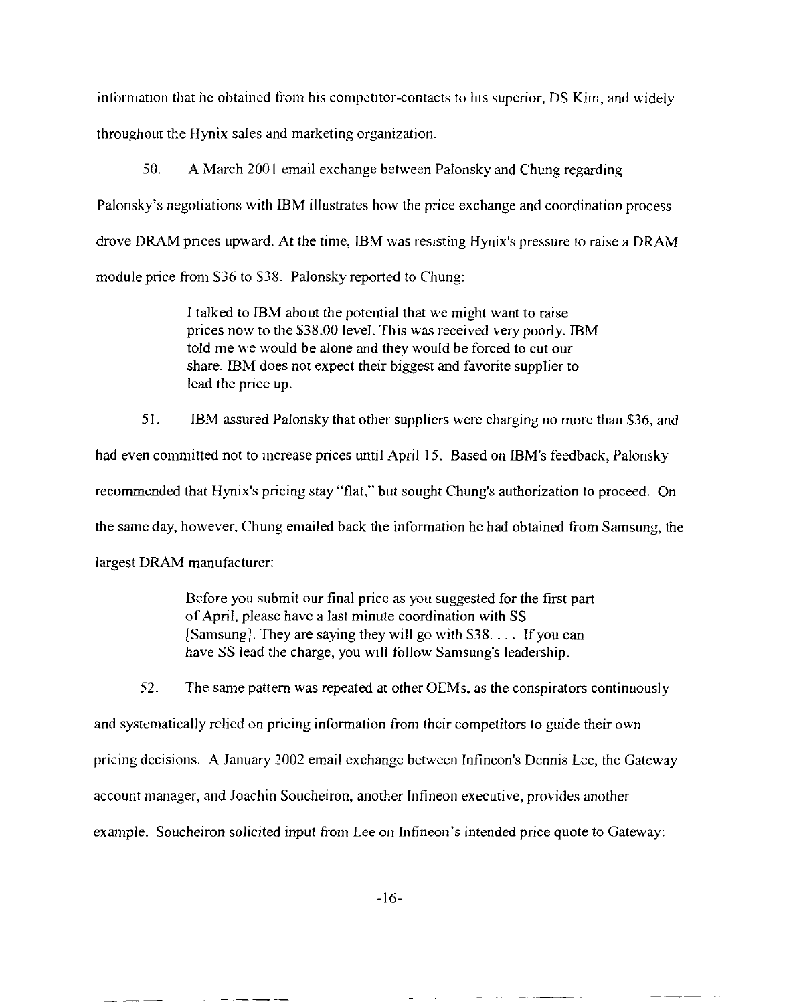information that he obtained from his competitor-contacts to his superior, DS Kim, and widely throughout the Hynix sales and marketing organization .

50. A March 2001 email exchange between Palonsky and Chung regarding Palonsky's negotiations with IBM illustrates how the price exchange and coordination process drove DRAM prices upward. At the time, IBM was resisting Hynix's pressure to raise a DRAM module price from \$36 to \$38. Palonsky reported to Chung:

> I talked to IBM about the potential that we might want to raise prices now to the \$38.00 level. This was received very poorly. IBM told me we would be alone and they would be forced to cut our share. IBM does not expect their biggest and favorite supplier to lead the price up.

51. IBM assured Palonsky that other suppliers were charging no more than \$36, and had even committed not to increase prices until April 15. Based on IBM's feedback, Palonsky recommended that Hynix's pricing stay "flat," but sought Chung's authorization to proceed . On the same day, however, Chung emailed back the information he had obtained from Samsung, the largest DRAM manufacturer:

> Before you submit our final price as you suggested for the first part of April, please have a last minute coordination with SS [Samsung]. They are saying they will go with \$38... If you can have SS lead the charge, you will follow Samsung's leadership.

52. The same pattern was repeated at other OEMs, as the conspirators continuously and systematically relied on pricing information from their competitors to guide their own pricing decisions. A January 2002 email exchange between Infineon's Dennis Lee, the Gateway account manager, and Joachin Soucheiron, another Infineon executive, provides another example. Soucheiron solicited input from Lee on Infineon's intended price quote to Gateway: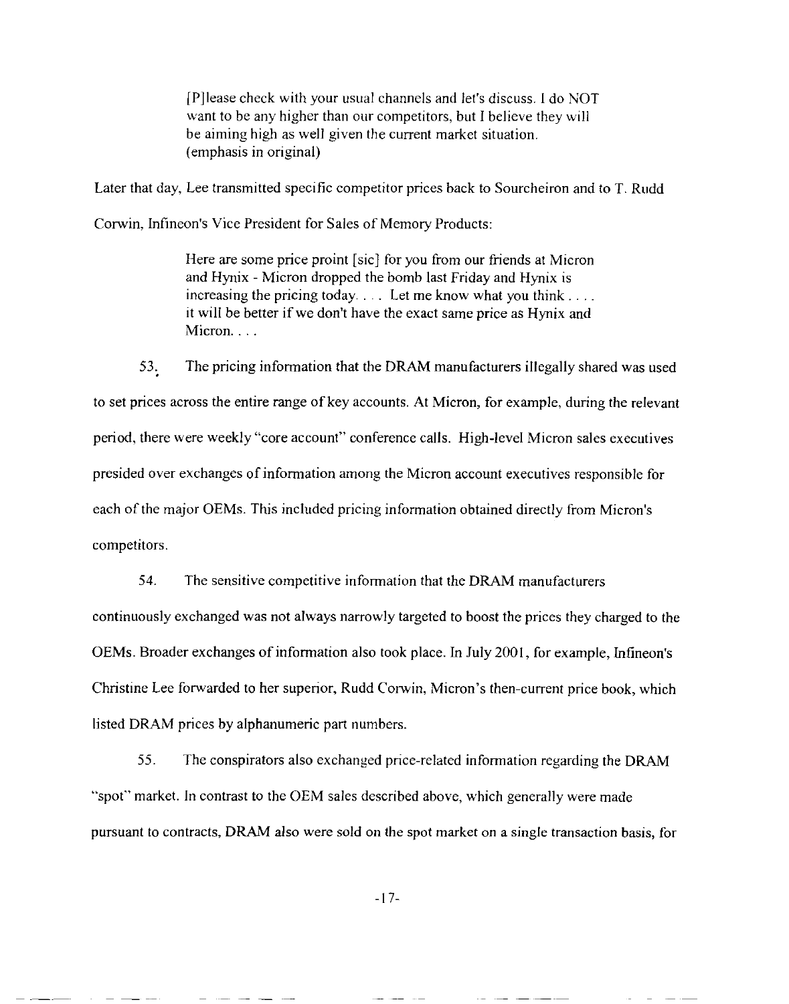[P]lease check with your usual channels and let's discuss . I do NOT want to be any higher than our competitors, but I believe they will be aiming high as well given the current market situation. (emphasis in original)

Later that day, Lee transmitted specific competitor prices back to Sourcheiron and to T . Rudd

Corwin, Infineon's Vice President for Sales of Memory Products:

Here are some price proint [sic] for you from our friends at Micron and Hynix - Micron dropped the bomb last Friday and Hynix is increasing the pricing today.  $\ldots$  Let me know what you think  $\ldots$ . it will be better if we don't have the exact same price as Hynix and Micron. . . .

53. The pricing information that the DRAM manufacturers illegally shared was used to set prices across the entire range of key accounts. At Micron, for example, during the relevant period, there were weekly "core account" conference calls. High-level Micron sales executives presided over exchanges of information among the Micron account executives responsible for each of the major OEMs. This included pricing information obtained directly from Micron's competitors .

54. The sensitive competitive information that the DRAM manufacturers continuously exchanged was not always narrowly targeted to boost the prices they charged to the OEMs. Broader exchanges of information also took place . In July 2001, for example, Infineon's Christine Lee forwarded to her superior, Rudd Corwin, Micron's then-current price book, which listed DRAM prices by alphanumeric part numbers.

55. The conspirators also exchanged price-related information regarding the DRAM "spot" market. In contrast to the OEM sales described above, which generally were made pursuant to contracts, DRAM also were sold on the spot market on a single transaction basis, for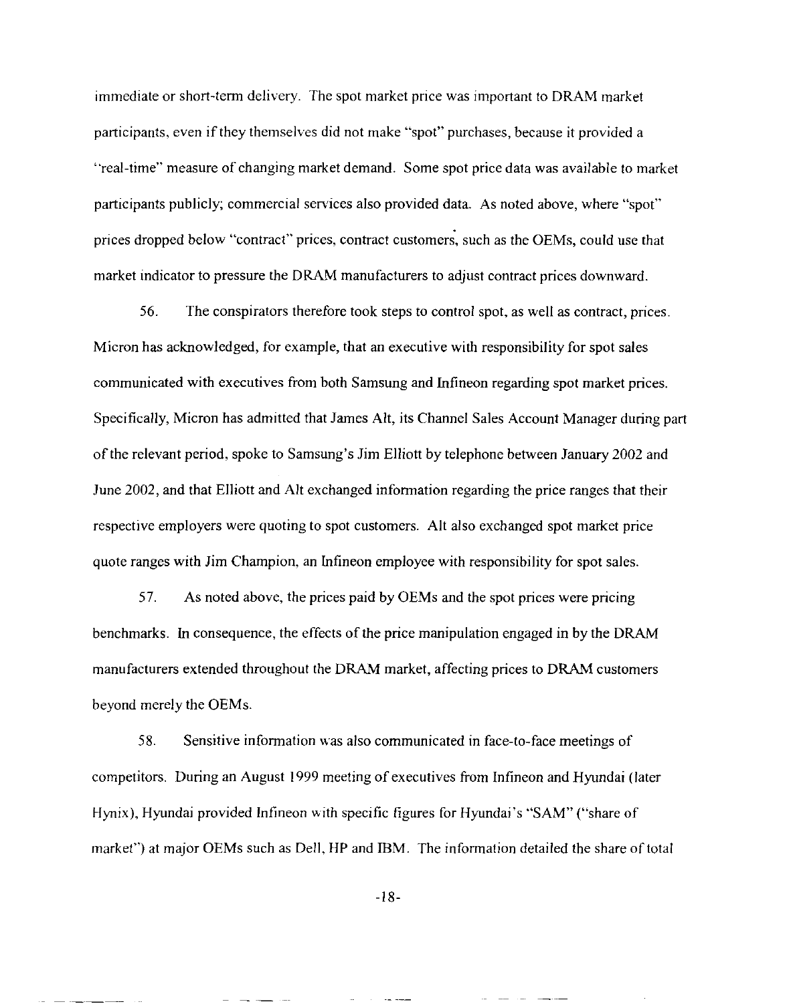immediate or short-term delivery. The spot market price was important to DRAM market participants, even if they themselves did not make "spot" purchases, because it provided a "real-time" measure of changing market demand. Some spot price data was available to market participants publicly; commercial services also provided data. As noted above, where "spot" prices dropped below "contract" prices, contract customers, such as the OEMs, could use that market indicator to pressure the DRAM manufacturers to adjust contract prices downward .

56. The conspirators therefore took steps to control spot, as well as contract, prices. Micron has acknowledged, for example, that an executive with responsibility for spot sales communicated with executives from both Samsung and Infineon regarding spot market prices . Specifically, Micron has admitted that James Alt, its Channel Sales Account Manager during part of the relevant period, spoke to Samsung's Jim Elliott by telephone between January 2002 and June 2002, and that Elliott and Alt exchanged information regarding the price ranges that their respective employers were quoting to spot customers. Alt also exchanged spot market price quote ranges with Jim Champion, an Infineon employee with responsibility for spot sales .

57. As noted above, the prices paid by OEMs and the spot prices were pricing benchmarks. In consequence, the effects of the price manipulation engaged in by the DRAM manufacturers extended throughout the DRAM market, affecting prices to DRAM customers beyond merely the OEMs.

58. Sensitive information was also communicated in face-to-face meetings o f competitors. During an August 1999 meeting of executives from Infineon and Hyundai (later Hynix), Hyundai provided Infineon with specific figures for Hyundai's "SAM" ("share of market") at major OEMs such as Dell, HP and IBM. The information detailed the share of total

-18-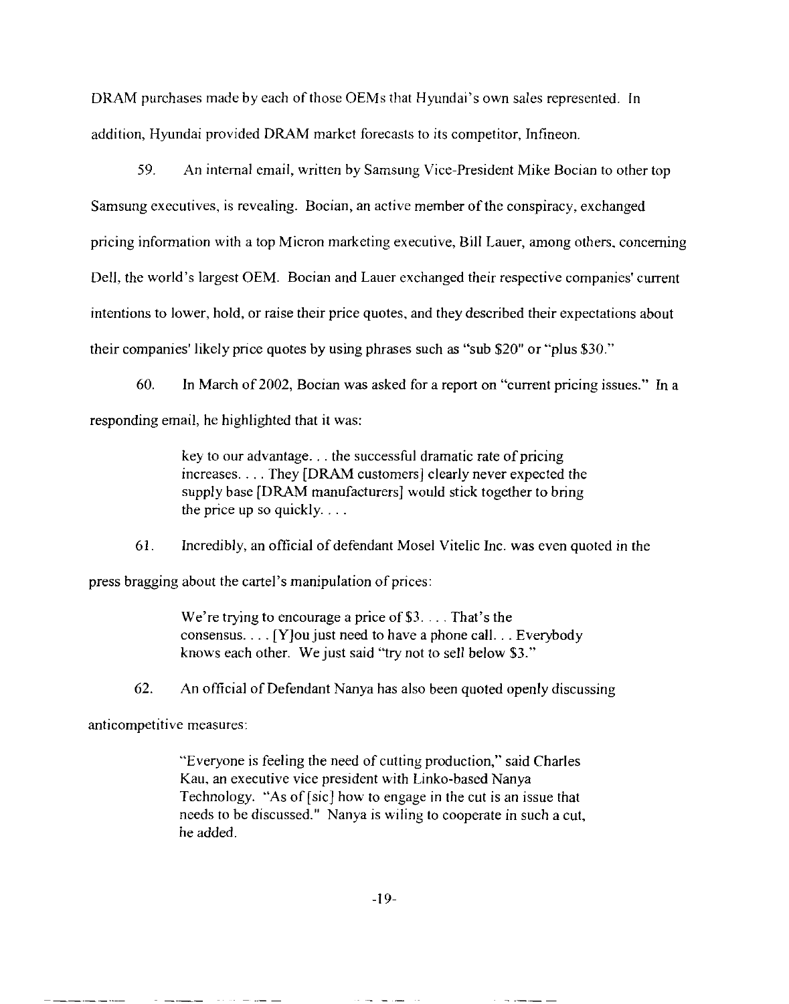DRAM purchases made by each of those OEMs that Hyundai's own sales represented. In addition, Hyundai provided DRAM market forecasts to its competitor, Infineon .

59. An internal email, written by Samsung Vice-President Mike Bocian to other top Samsung executives, is revealing. Bocian, an active member of the conspiracy, exchanged pricing information with a top Micron marketing executive, Bill Lauer, among others, concerning Dell, the world's largest OEM. Bocian and Lauer exchanged their respective companies' current intentions to lower, hold, or raise their price quotes, and they described their expectations about their companies' likely price quotes by using phrases such as "sub \$20" or "plus \$30. "

60. In March of 2002, Bocian was asked for a report on "current pricing issues." In a responding email, he highlighted that it was:

> key to our advantage. . . the successful dramatic rate of pricing increases . . . They [DRAM customers] clearly never expected the supply base [DRAM manufacturers] would stick together to bring the price up so quickly.  $\ldots$

61. Incredibly, an official of defendant Mosel Vitelic Inc . was even quoted in the press bragging about the cartel's manipulation of prices :

> We're trying to encourage a price of \$3. . . . That's the consensus. . . . [Y]ou just need to have a phone call . . . Everybody knows each other. We just said "try not to sell below \$3."

62. An official of Defendant Nanya has also been quoted openly discussing

anticompetitive measures:

"Everyone is feeling the need of cutting production," said Charles Kau, an executive vice president with Linko-based Nanya Technology. "As of [sic] how to engage in the cut is an issue that needs to be discussed." Nanya is willing to cooperate in such a cut, he added.

-19-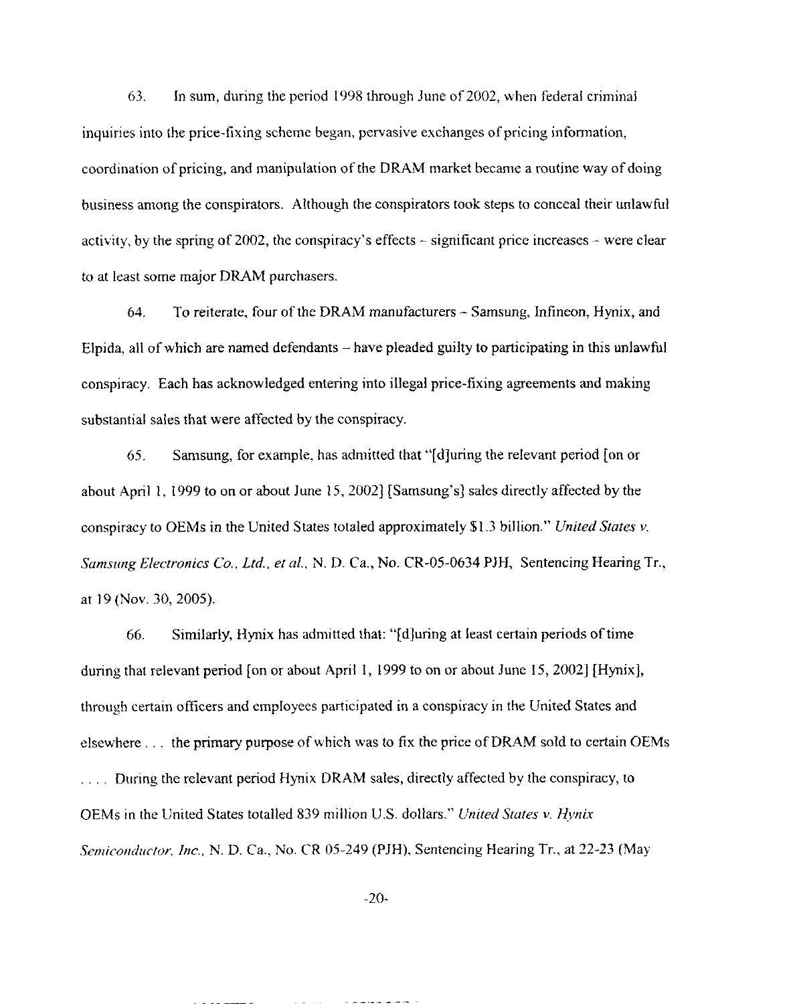63. In sum, during the period 1998 through June of 2002, when federal crimina <sup>l</sup> inquiries into the price-fixing scheme began, pervasive exchanges of pricing information, coordination of pricing, and manipulation of the DRAM market became a routine way of doing business among the conspirators. Although the conspirators took steps to conceal their unlawful activity, by the spring of 2002, the conspiracy's effects  $-$  significant price increases  $-$  were clear to at least some major DRAM purchasers.

64. To reiterate, four of the DRAM manufacturers – Samsung, Infineon, Hynix, and Elpida, all of which are named defendants  $-$  have pleaded guilty to participating in this unlawful conspiracy. Each has acknowledged entering into illegal price-fixing agreements and making substantial sales that were affected by the conspiracy.

65. Samsung, for example, has admitted that "[d]uring the relevant period [on or about April 1, 1999 to on or about June 15, 2002] [Samsung's] sales directly affected by the conspiracy to OEMs in the United States totaled approximately \$1 .3 billion." *United States v. Samsung Electronics Co., Ltd., et al., N. D. Ca., No. CR-05-0634 PJH, Sentencing Hearing Tr.,* at 19 (Nov . 30, 2005).

66. Similarly, Hynix has admitted that: " $\left\{ d \right\}$ uring at least certain periods of time during that relevant period [on or about April 1, 1999 to on or about June 15, 2002] [Hynix], through certain officers and employees participated in a conspiracy in the United States and elsewhere . . . the primary purpose of which was to fix the price of DRAM sold to certain OEMs ... During the relevant period Hynix DRAM sales, directly affected by the conspiracy, to OEMs in the United States totalled 839 million U .S. dollars." *United States v. Hynix Semiconductor, Inc., N. D. Ca., No. CR 05-249 (PJH), Sentencing Hearing Tr., at 22-23 (May* 

-20-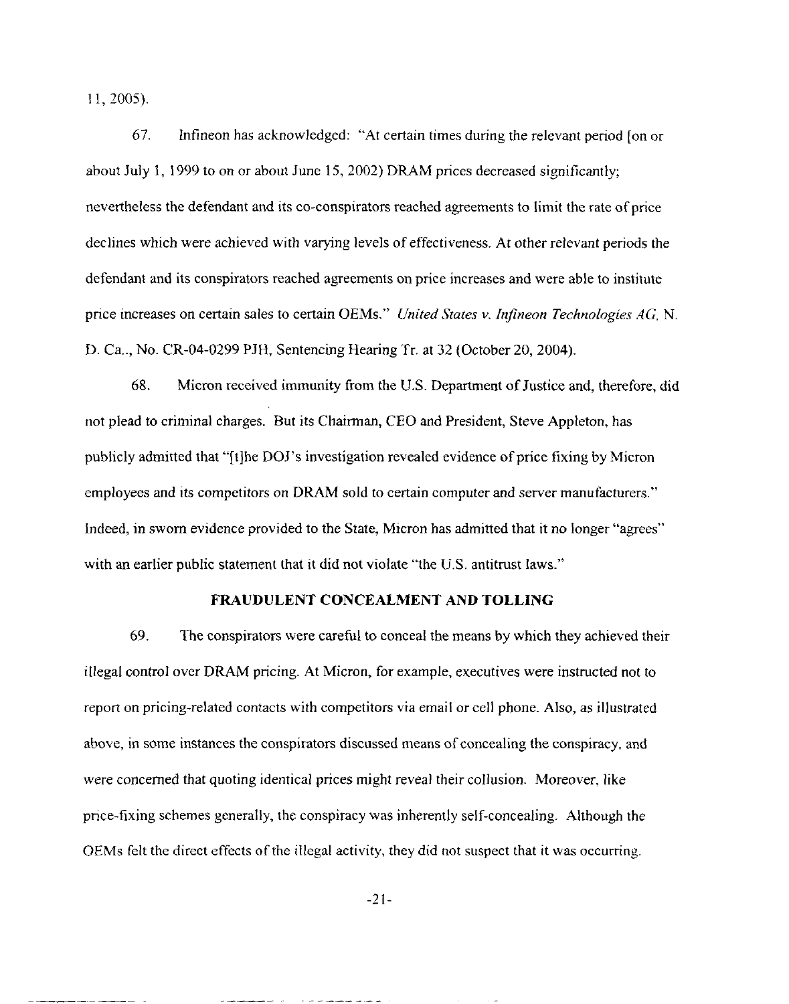11, 2005).

67. Infineon has acknowledged : "At certain times during the relevant period [on or about July 1, 1999 to on or about June 15, 2002) DRAM prices decreased significantly; nevertheless the defendant and its co-conspirators reached agreements to limit the rate of price declines which were achieved with varying levels of effectiveness . At other relevant periods the defendant and its conspirators reached agreements on price increases and were able to institute price increases on certain sales to certain OEMs." *United States v. Infineon Technologies AG,* N. D. Ca., No. CR-04-0299 PJH, Sentencing Hearing Tr. at 32 (October 20, 2004).

68. Micron received immunity from the U.S. Department of Justice and, therefore, did not plead to criminal charges. But its Chairman, CEO and President, Steve Appleton, has publicly admitted that "[t]he DOJ's investigation revealed evidence of price fixing by Micron employees and its competitors on DRAM sold to certain computer and sewer manufacturers . " Indeed, in sworn evidence provided to the State, Micron has admitted that it no longer "agrees " with an earlier public statement that it did not violate "the U.S. antitrust laws."

## **FRAUDULENT CONCEALMENT AND TOLLING**

69. The conspirators were careful to conceal the means by which they achieved their illegal control over DRAM pricing. At Micron, for example, executives were instructed not to report on pricing-related contacts with competitors via email or cell phone. Also, as illustrated above, in some instances the conspirators discussed means of concealing the conspiracy, and were concerned that quoting identical prices might reveal their collusion . Moreover, like price-fixing schemes generally, the conspiracy was inherently self-concealing. Although the OEMs felt the direct effects of the illegal activity, they did not suspect that it was occurring .

-21-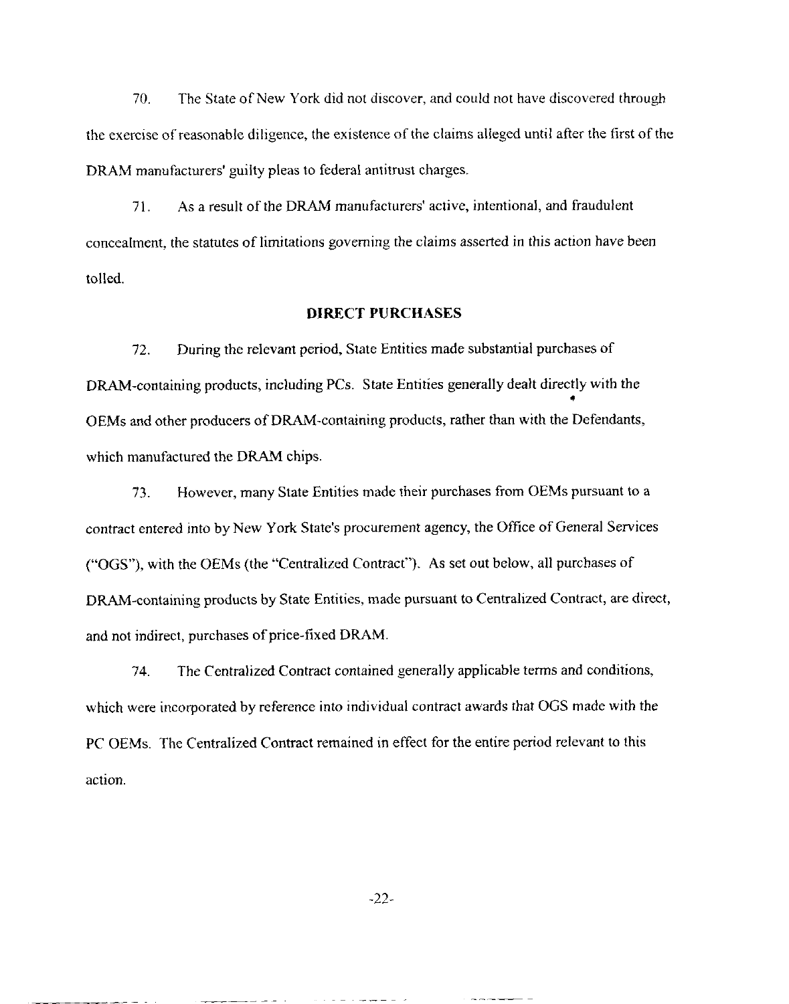70. The State of New York did not discover, and could not have discovered through the exercise of reasonable diligence, the existence of the claims alleged until after the first of the DRAM manufacturers' guilty pleas to federal antitrust charges.

71. As a result of the DRAM manufacturers' active, intentional, and fraudulen <sup>t</sup> concealment, the statutes of limitations governing the claims asserted in this action have been tolled.

### **DIRECT PURCHASES**

72. During the relevant period, State Entities made substantial purchases of DRAM-containing products, including PCs. State Entities generally dealt directly with the OEMs and other producers of DRAM-containing products, rather than with the Defendants, which manufactured the DRAM chips.

73. However, many State Entities made their purchases from OEMs pursuant to a contract entered into by New York State's procurement agency, the Office of General Services ("OGS"), with the OEMs (the "Centralized Contract"). As set out below, all purchases of DRAM-containing products by State Entities, made pursuant to Centralized Contract, are direct, and not indirect, purchases of price-fixed DRAM.

74. The Centralized Contract contained generally applicable terms and conditions , which were incorporated by reference into individual contract awards that OGS made with the PC OEMs. The Centralized Contract remained in effect for the entire period relevant to this action.

-22-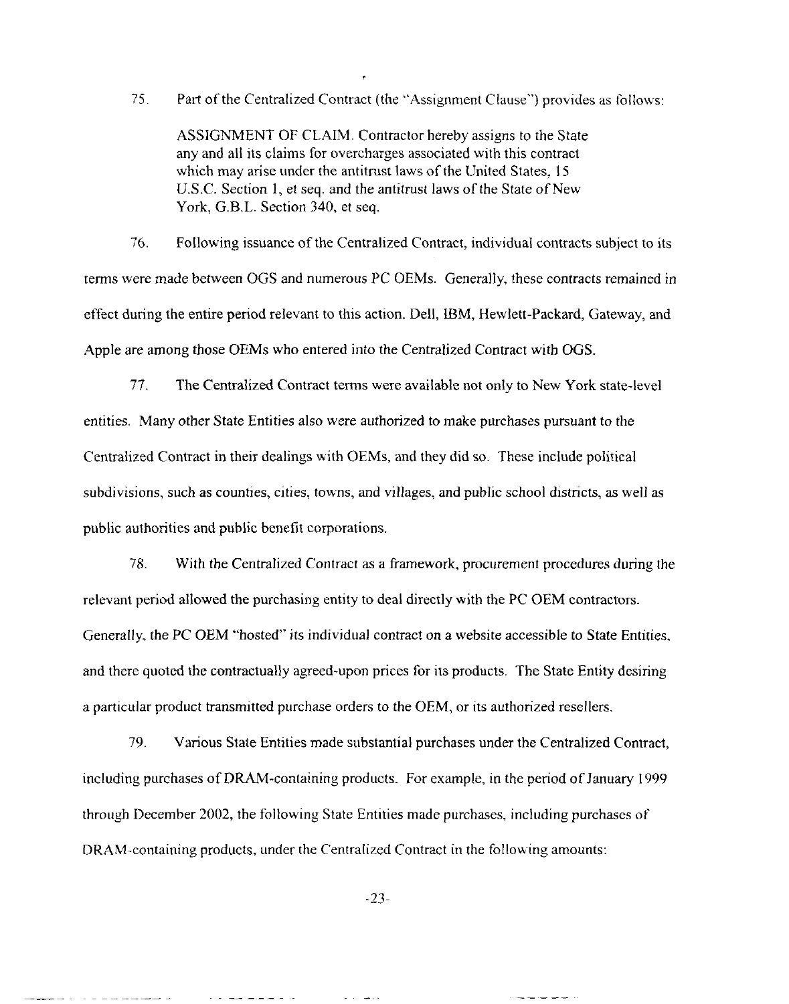75. Part of the Centralized Contract (the "Assignment Clause") provides as follows:

ASSIGNMENT OF CLAIM . Contractor hereby assigns to the State any and all its claims for overcharges associated with this contract which may arise under the antitrust laws of the United States, 15 U.S.C. Section 1, et seq. and the antitrust laws of the State of New York, G.B.L. Section 340, et seq.

76. Following issuance of the Centralized Contract, individual contracts subject to its terms were made between OGS and numerous PC OEMs. Generally, these contracts remained in effect during the entire period relevant to this action . Dell, IBM, Hewlett-Packard, Gateway, and Apple are among those OEMs who entered into the Centralized Contract with OGS .

77. The Centralized Contract terms were available not only to New York state-level entities. Many other State Entities also were authorized to make purchases pursuant to the Centralized Contract in their dealings with OEMs, and they did so . These include political subdivisions, such as counties, cities, towns, and villages, and public school districts, as well as public authorities and public benefit corporations .

78. With the Centralized Contract as a framework, procurement procedures during the relevant period allowed the purchasing entity to deal directly with the PC OEM contractors. Generally, the PC OEM "hosted" its individual contract on a website accessible to State Entities, and there quoted the contractually agreed-upon prices for its products. The State Entity desiring a particular product transmitted purchase orders to the OEM, or its authorized resellers .

79. Various State Entities made substantial purchases under the Centralized Contract , including purchases of DRAM-containing products. For example, in the period of January 1999 through December 2002, the following State Entities made purchases, including purchases of DRAM-containing products, under the Centralized Contract in the following amounts:

-23-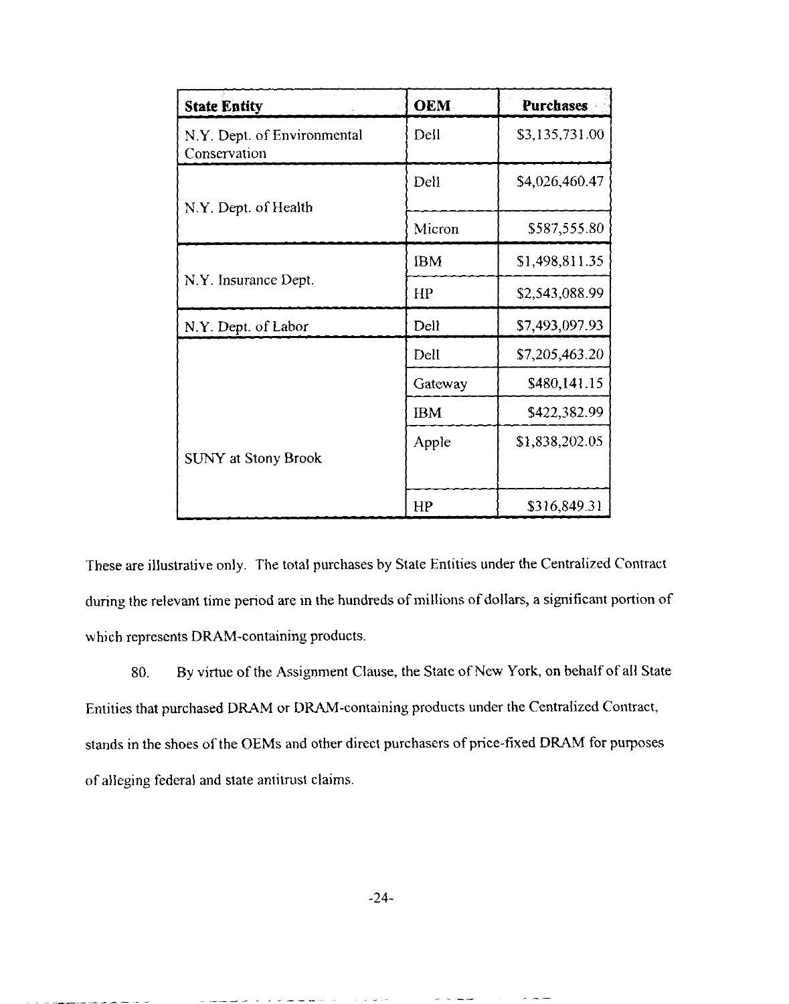| <b>State Entity</b>                         | <b>OEM</b> | <b>Purchases</b> |
|---------------------------------------------|------------|------------------|
| N.Y. Dept. of Environmental<br>Conservation | Dell       | \$3,135,731.00   |
| N.Y. Dept. of Health                        | Deli       | \$4,026,460.47   |
|                                             | Micron     | \$587,555.80     |
|                                             | <b>IBM</b> | \$1,498,811.35   |
| N.Y. Insurance Dept.                        | HP         | \$2,543,088.99   |
| N.Y. Dept. of Labor                         | Dell       | \$7,493,097.93   |
|                                             | Dell       | \$7,205,463.20   |
|                                             | Gateway    | \$480,141.15     |
|                                             | <b>IBM</b> | \$422,382.99     |
| <b>SUNY</b> at Stony Brook                  | Apple      | \$1,838,202.05   |
|                                             | HP         | \$316,849.31     |

These are illustrative only. The total purchases by State Entities under the Centralized Contract during the relevant time period are in the hundreds of millions of dollars, a significant portion of which represents DRAM-containing products.

80. By virtue of the Assignment Clause, the State of New York, on behalf of all State Entities that purchased DRAM or DRAM-containing products under the Centralized Contract, stands in the shoes of the OEMs and other direct purchasers of price-fixed DRAM for purposes of alleging federal and state antitrust claims .

 $\sim$   $\sim$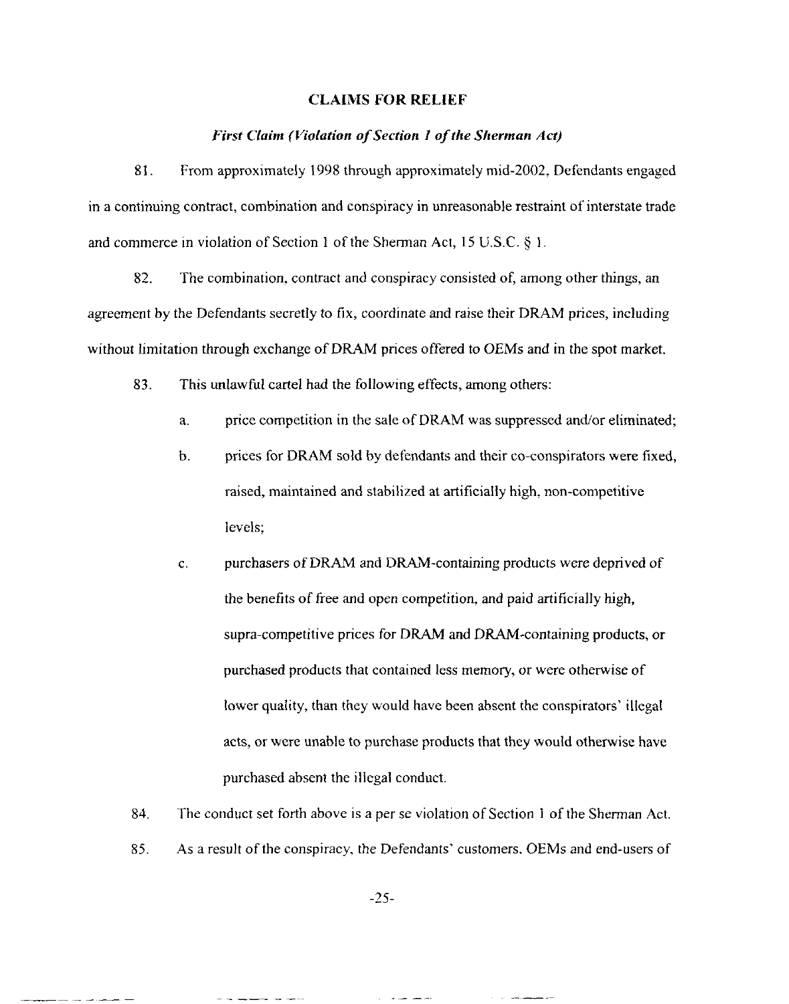#### **CLAIMS FOR RELIE F**

### *First Claim (Violation of Section 1 of the Sherman Act)*

81. From approximately 1998 through approximately mid-2002, Defendants engaged in a continuing contract, combination and conspiracy in unreasonable restraint of interstate trade and commerce in violation of Section 1 of the Sherman Act, 15 U.S.C. § 1.

82. The combination, contract and conspiracy consisted of, among other things, an agreement by the Defendants secretly to fix, coordinate and raise their DRAM prices, including without limitation through exchange of DRAM prices offered to OEMs and in the spot market.

83. This unlawful cartel had the following effects, among others:

- a. price competition in the sale of DRAM was suppressed *and/or* eliminated;
- b. prices for DRAM sold by defendants and their co-conspirators were fixed, raised, maintained and stabilized at artificially high, non-competitive levels;
- c. purchasers of DRAM and DRAM-containing products were deprived of the benefits of free and open competition, and paid artificially high, supra-competitive prices for DRAM and DRAM-containing products, or purchased products that contained less memory, or were otherwise of lower quality, than they would have been absent the conspirators' illegal acts, or were unable to purchase products that they would otherwise have purchased absent the illegal conduct.
- 84. The conduct set forth above is a per se violation of Section 1 of the Sherman Act . 85. As a result of the conspiracy, the Defendants' customers, OEMs and end-users of

-25-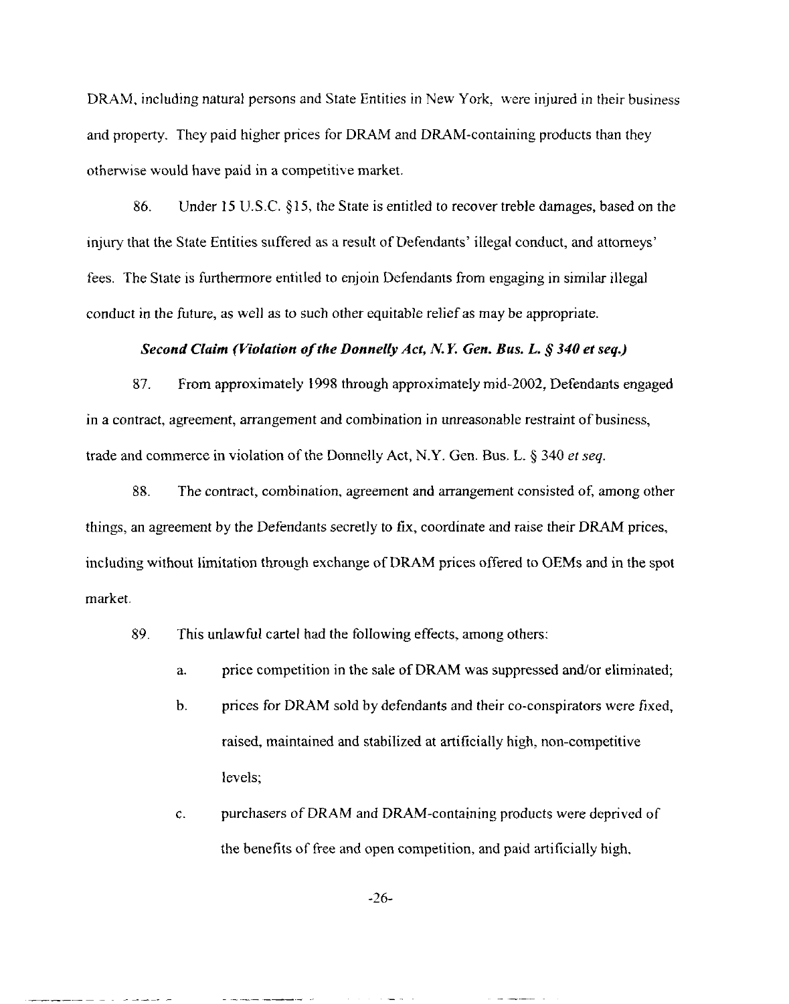DRAM, including natural persons and State Entities in New York, were injured in their business and property. They paid higher prices for DRAM and DRAM-containing products than they otherwise would have paid in a competitive market .

86. Under 15 U.S.C. §15, the State is entitled to recover treble damages, based on the injury that the State Entities suffered as a result of Defendants' illegal conduct, and attorneys ' fees. The State is furthermore entitled to enjoin Defendants from engaging in similar illegal conduct in the future, as well as to such other equitable relief as may be appropriate.

## *Second Claim (Violation of the Donnelly Act, N.Y. Gen. Bus. L. § 340 et seq.)*

87. From approximately 1998 through approximately mid-2002, Defendants engaged in a contract, agreement, arrangement and combination in unreasonable restraint of business, trade and commerce in violation of the Donnelly Act, N.Y. Gen. Bus. L.  $\S 340$  et seq.

88. The contract, combination, agreement and arrangement consisted of, among other things, an agreement by the Defendants secretly to fix, coordinate and raise their DRAM prices, including without limitation through exchange of DRAM prices offered to OEMs and in the spot market.

89. This unlawful cartel had the following effects, among others:

- a. price competition in the sale of DRAM was suppressed and/or eliminated;
- b. prices for DRAM sold by defendants and their co-conspirators were fixed, raised, maintained and stabilized at artificially high, non-competitive levels;
- c. purchasers of DRAM and DRAM-containing products were deprived of the benefits of free and open competition, and paid artificially high,

-26-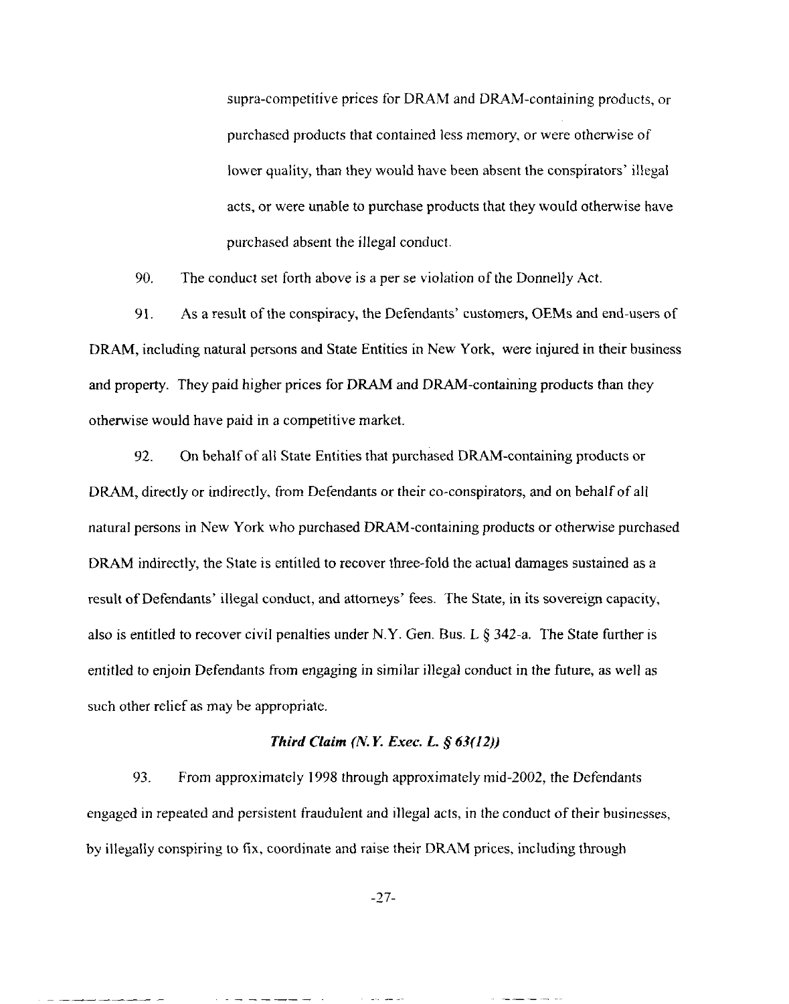supra-competitive prices for DRAM and DRAM-containing products, or purchased products that contained less memory, or were otherwise of lower quality, than they would have been absent the conspirators' illegal acts, or were unable to purchase products that they would otherwise have purchased absent the illegal conduct.

90. The conduct set forth above is a per se violation of the Donnelly Act.

91. As a result of the conspiracy, the Defendants' customers, OEMs and end-users of DRAM, including natural persons and State Entities in New York, were injured in their business and property. They paid higher prices for DRAM and DRAM-containing products than they otherwise would have paid in a competitive market.

92. On behalf of all State Entities that purchased DRAM-containing products or DRAM, directly or indirectly, from Defendants or their co-conspirators, and on behalf of all natural persons in New York who purchased DRAM-containing products or otherwise purchased DRAM indirectly, the State is entitled to recover three-fold the actual damages sustained as a result of Defendants' illegal conduct, and attorneys' fees . The State, in its sovereign capacity, also is entitled to recover civil penalties under N.Y. Gen. Bus. L  $\S$  342-a. The State further is entitled to enjoin Defendants from engaging in similar illegal conduct in the future, as well as such other relief as may be appropriate.

## *Third Claim (N. Y. Exec. L. § 63(12))*

93. From approximately 1998 through approximately mid-2002, the Defendants engaged in repeated and persistent fraudulent and illegal acts, in the conduct of their businesses, by illegally conspiring to fix, coordinate and raise their DRAM prices, including through

-27-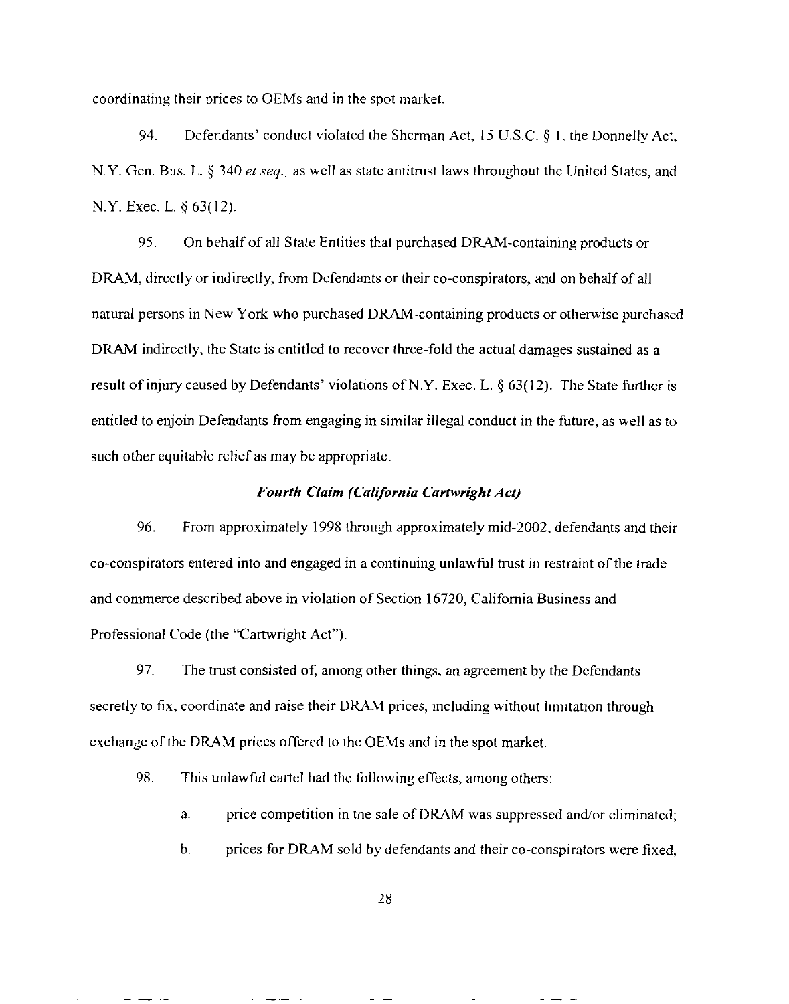coordinating their prices to OEMs and in the spot market .

94. Defendants' conduct violated the Sherman Act, 15 U.S.C. § 1, the Donnelly Act, N.Y. Gen . Bus. L. § 340 *et seq.,* as well as state antitrust laws throughout the United States, and N.Y. Exec. L. § 63(12).

95. On behalf of all State Entities that purchased DRAM-containing products or DRAM, directly or indirectly, from Defendants or their co-conspirators, and on behalf of all natural persons in New York who purchased DRAM-containing products or otherwise purchased DRAM indirectly, the State is entitled to recover three-fold the actual damages sustained as a result of injury caused by Defendants' violations of N.Y. Exec. L.  $\S 63(12)$ . The State further is entitled to enjoin Defendants from engaging in similar illegal conduct in the future, as well as to such other equitable relief as may be appropriate.

### *Fourth Claim (California Cartwright Act)*

96. From approximately 1998 through approximately mid-2002, defendants and their co-conspirators entered into and engaged in a continuing unlawful trust in restraint of the trade and commerce described above in violation of Section 16720, California Business and Professional Code (the "Cartwright Act").

97. The trust consisted of, among other things, an agreement by the Defendants secretly to fix, coordinate and raise their DRAM prices, including without limitation through exchange of the DRAM prices offered to the OEMs and in the spot market.

98. This unlawful cartel had the following effects, among others:

- a. price competition in the sale of DRAM was suppressed and/or eliminated;
- b. prices for DRAM sold by defendants and their co-conspirators were fixed,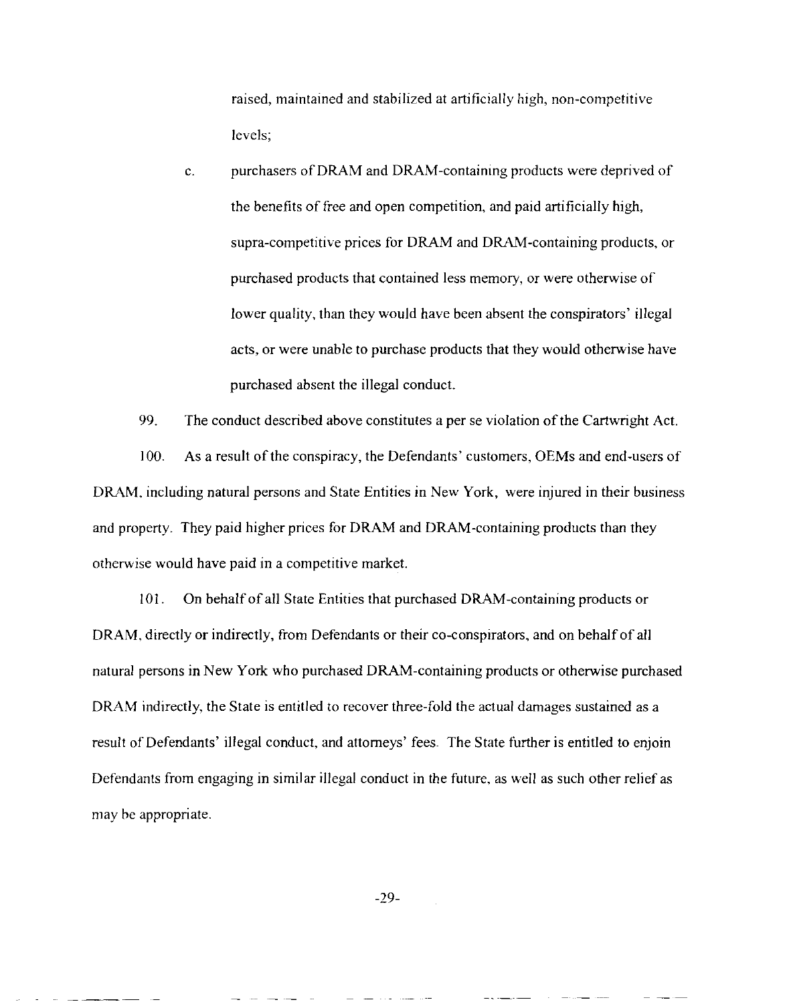raised, maintained and stabilized at artificially high, non-competitive levels;

c. purchasers of DRAM and DRAM-containing products were deprived of the benefits of free and open competition, and paid artificially high, supra-competitive prices for DRAM and DRAM-containing products, or purchased products that contained less memory, or were otherwise of lower quality, than they would have been absent the conspirators' illegal acts, or were unable to purchase products that they would otherwise have purchased absent the illegal conduct.

99. The conduct described above constitutes a per se violation of the Cartwright Act .

100. As a result of the conspiracy, the Defendants' customers, OEMs and end-users of DRAM, including natural persons and State Entities in New York, were injured in their business and property. They paid higher prices for DRAM and DRAM-containing products than they otherwise would have paid in a competitive market.

101. On behalf of all State Entities that purchased DRAM-containing products or DRAM, directly or indirectly, from Defendants or their co-conspirators, and on behalf of all natural persons in New York who purchased DRAM-containing products or otherwise purchased DRAM indirectly, the State is entitled to recover three-fold the actual damages sustained as a result of Defendants' illegal conduct, and attorneys' fees. The State further is entitled to enjoin Defendants from engaging in similar illegal conduct in the future, as well as such other relief as may be appropriate.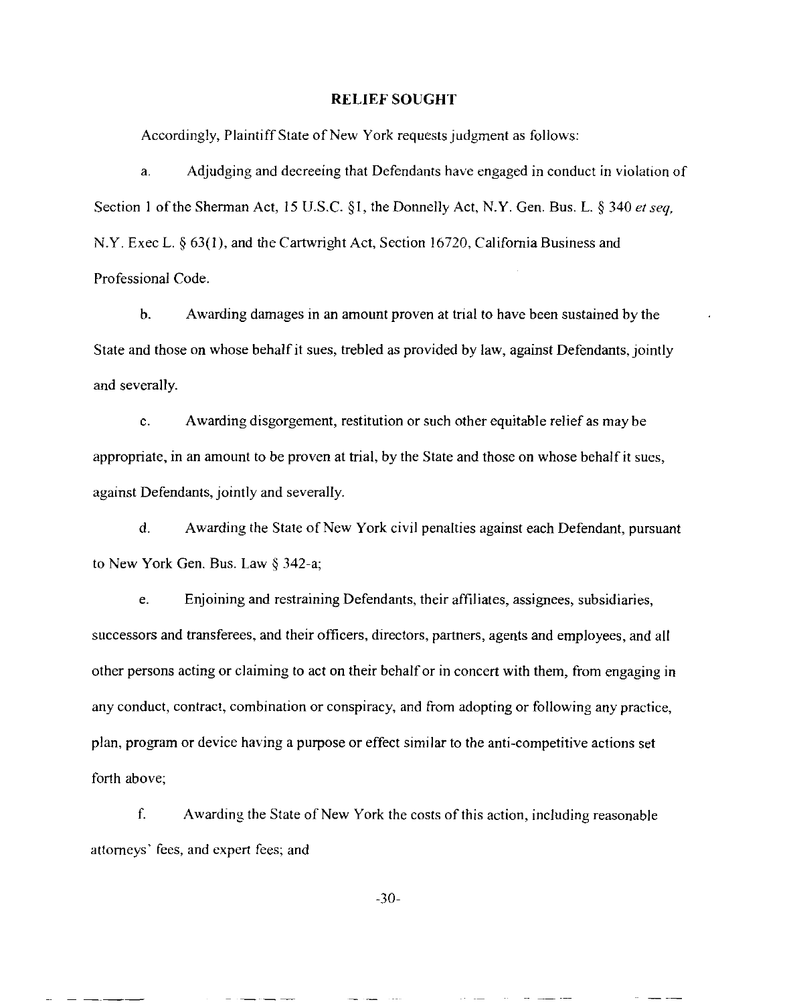#### **RELIEF SOUGHT**

Accordingly, Plaintiff State of New York requests judgment as follows :

a. Adjudging and decreeing that Defendants have engaged in conduct in violation of Section 1 of the Sherman Act, 15 U.S.C. §1, the Donnelly Act, N.Y. Gen. Bus. L. § 340 *et seq*, N.Y. Exec L.  $\S 63(1)$ , and the Cartwright Act, Section 16720, California Business and Professional Code.

b. Awarding damages in an amount proven at trial to have been sustained by the State and those on whose behalf it sues, trebled as provided by law, against Defendants, jointly and severally.

c. Awarding disgorgement, restitution or such other equitable relief as may be appropriate, in an amount to be proven at trial, by the State and those on whose behalf it sues, against Defendants, jointly and severally.

d. Awarding the State of New York civil penalties against each Defendant, pursuant to New York Gen. Bus. Law  $\S$  342-a;

e. Enjoining and restraining Defendants, their affiliates, assignees, subsidiaries , successors and transferees, and their officers, directors, partners, agents and employees, and all other persons acting or claiming to act on their behalf or in concert with them, from engaging in any conduct, contract, combination or conspiracy, and from adopting or following any practice , plan, program or device having a purpose or effect similar to the anti-competitive actions set forth above;

f. Awarding the State of New York the costs of this action, including reasonable attorneys' fees, and expert fees; and

-30-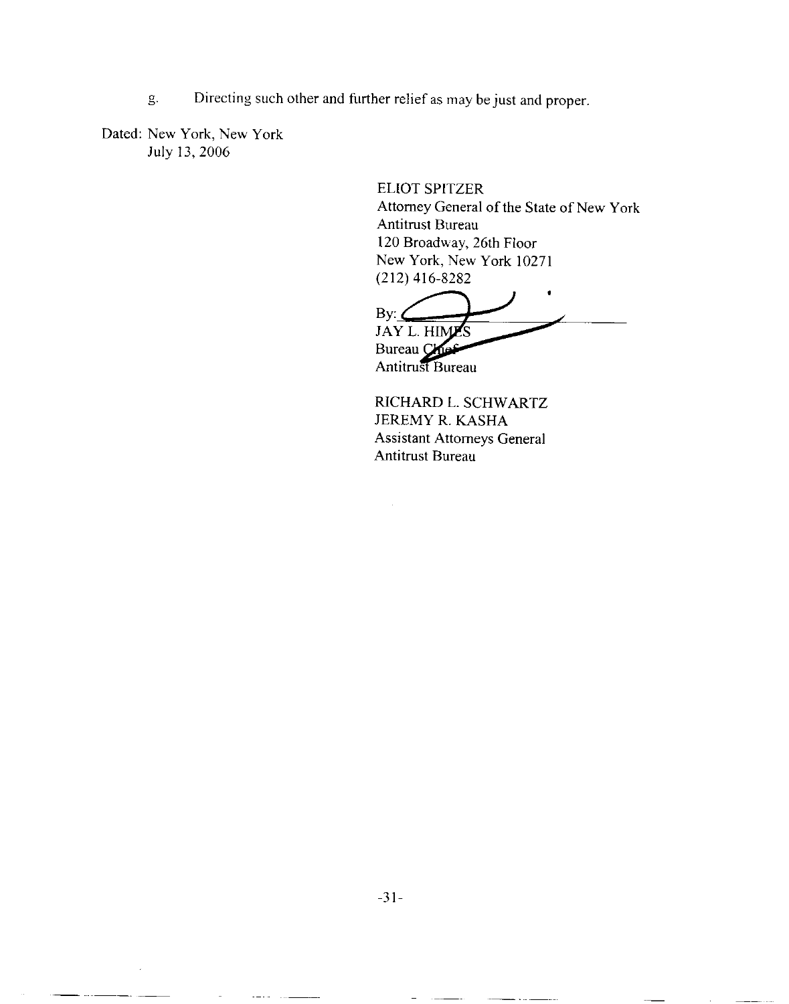Directing such other and further relief as may be just and proper. g.

Dated: New York, New York July 13, 2006

> ELIOT SPITZER Attorney General of the State of New York Antitrust Bureau 120 Broadway, 26th Floor New York, New York 10271 (212) 416-8282

By:  $\epsilon$ JAY L. HIMES Bureau CA **Antitrust Bureau** 

RICHARD L. SCHWARTZ JEREMY R. KASHA Assistant Attorneys General Antitrust Bureau

 $\sim$   $\sim$   $-$ 

 $\bar{L}$